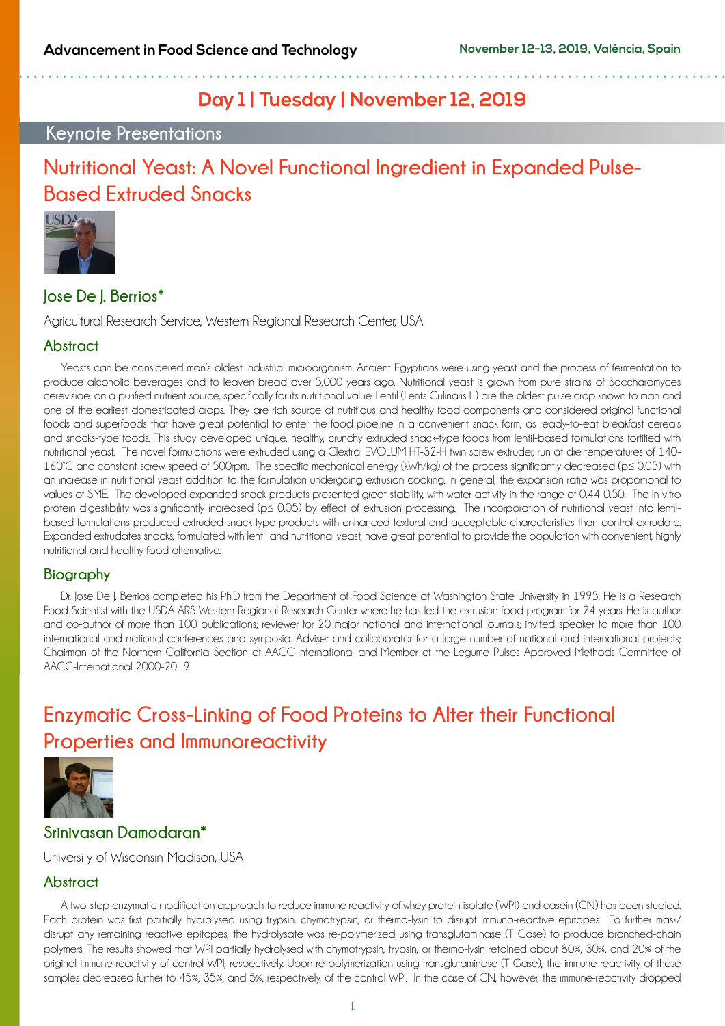## **Day 1 | Tuesday | November 12, 2019**

## **Keynote Presentations**

## **Nutritional Yeast: A Novel Functional Ingredient in Expanded Pulse-Based Extruded Snacks**



## **Jose De J. Berrios\***

Agricultural Research Service, Western Regional Research Center, USA

### **Abstract**

Yeasts can be considered man's oldest industrial microorganism. Ancient Egyptians were using yeast and the process of fermentation to produce alcoholic beverages and to leaven bread over 5,000 years ago. Nutritional yeast is grown from pure strains of Saccharomyces cerevisiae, on a purified nutrient source, specifically for its nutritional value. Lentil (Lents Culinaris L.) are the oldest pulse crop known to man and one of the earliest domesticated crops. They are rich source of nutritious and healthy food components and considered original functional foods and superfoods that have great potential to enter the food pipeline in a convenient snack form, as ready-to-eat breakfast cereals and snacks-type foods. This study developed unique, healthy, crunchy extruded snack-type foods from lentil-based formulations fortified with nutritional yeast. The novel formulations were extruded using a Clextral EVOLUM HT-32-H twin screw extruder, run at die temperatures of 140- 160°C and constant screw speed of 500rpm. The specific mechanical energy (kWh/kg) of the process significantly decreased (p≤ 0.05) with an increase in nutritional yeast addition to the formulation undergoing extrusion cooking. In general, the expansion ratio was proportional to values of SME. The developed expanded snack products presented great stability, with water activity in the range of 0.44-0.50. The In vitro protein digestibility was significantly increased (p≤ 0.05) by effect of extrusion processing. The incorporation of nutritional yeast into lentilbased formulations produced extruded snack-type products with enhanced textural and acceptable characteristics than control extrudate. Expanded extrudates snacks, formulated with lentil and nutritional yeast, have great potential to provide the population with convenient, highly nutritional and healthy food alternative.

### **Biography**

Dr. Jose De J. Berrios completed his Ph.D from the Department of Food Science at Washington State University in 1995. He is a Research Food Scientist with the USDA-ARS-Western Regional Research Center where he has led the extrusion food program for 24 years. He is author and co-author of more than 100 publications; reviewer for 20 major national and international journals; invited speaker to more than 100 international and national conferences and symposia. Adviser and collaborator for a large number of national and international projects; Chairman of the Northern California Section of AACC-International and Member of the Legume Pulses Approved Methods Committee of AACC-International 2000-2019.

## **Enzymatic Cross-Linking of Food Proteins to Alter their Functional Properties and Immunoreactivity**



### **Srinivasan Damodaran\***

University of Wisconsin-Madison, USA

### **Abstract**

A two-step enzymatic modification approach to reduce immune reactivity of whey protein isolate (WPI) and casein (CN) has been studied. Each protein was first partially hydrolysed using trypsin, chymotrypsin, or thermo-lysin to disrupt immuno-reactive epitopes. To further mask/ disrupt any remaining reactive epitopes, the hydrolysate was re-polymerized using transglutaminase (T Gase) to produce branched-chain polymers. The results showed that WPI partially hydrolysed with chymotrypsin, trypsin, or thermo-lysin retained about 80%, 30%, and 20% of the original immune reactivity of control WPI, respectively. Upon re-polymerization using transglutaminase (T Gase), the immune reactivity of these samples decreased further to 45%, 35%, and 5%, respectively, of the control WPI. In the case of CN, however, the immune-reactivity dropped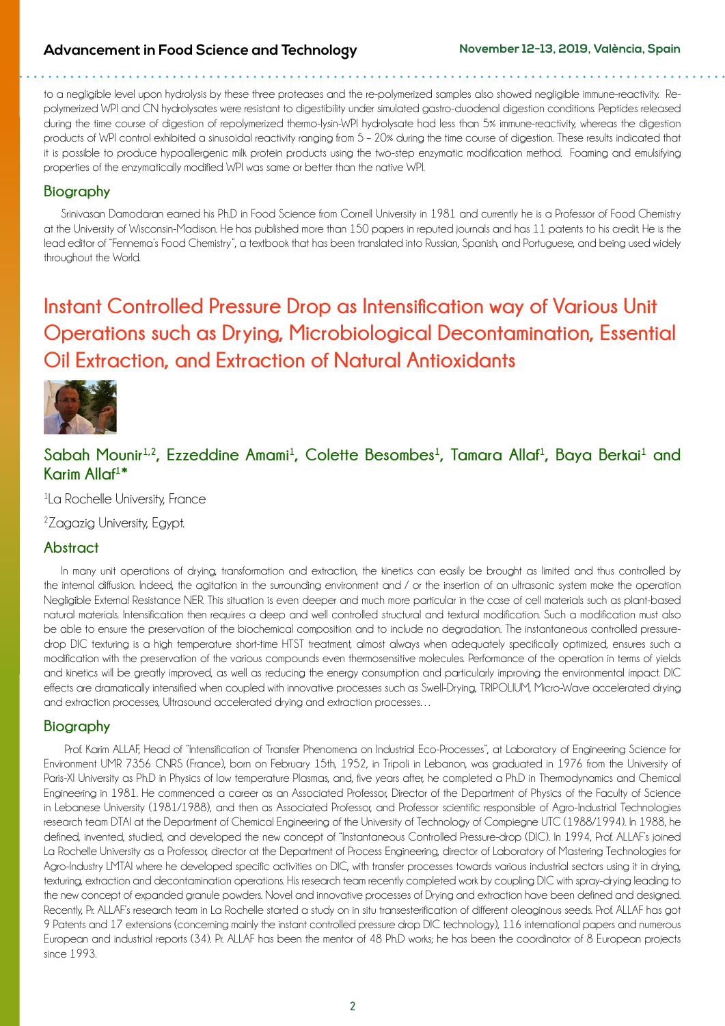### **Advancement in Food Science and Technology November 12-13, 2019, València, Spain**

to a negligible level upon hydrolysis by these three proteases and the re-polymerized samples also showed negligible immune-reactivity. Repolymerized WPI and CN hydrolysates were resistant to digestibility under simulated gastro-duodenal digestion conditions. Peptides released during the time course of digestion of repolymerized thermo-lysin-WPI hydrolysate had less than 5% immune-reactivity, whereas the digestion products of WPI control exhibited a sinusoidal reactivity ranging from 5 – 20% during the time course of digestion. These results indicated that it is possible to produce hypoallergenic milk protein products using the two-step enzymatic modification method. Foaming and emulsifying properties of the enzymatically modified WPI was same or better than the native WPI.

### **Biography**

Srinivasan Damodaran earned his Ph.D in Food Science from Cornell University in 1981 and currently he is a Professor of Food Chemistry at the University of Wisconsin-Madison. He has published more than 150 papers in reputed journals and has 11 patents to his credit. He is the lead editor of "Fennema's Food Chemistry", a textbook that has been translated into Russian, Spanish, and Portuguese, and being used widely throughout the World.

## **Instant Controlled Pressure Drop as Intensification way of Various Unit Operations such as Drying, Microbiological Decontamination, Essential Oil Extraction, and Extraction of Natural Antioxidants**



## Sabah Mounir<sup>1,2</sup>, Ezzeddine Amami<sup>1</sup>, Colette Besombes<sup>1</sup>, Tamara Allaf<sup>1</sup>, Baya Berkai<sup>1</sup> and **Karim Allaf1 \***

1 La Rochelle University, France

<sup>2</sup> Zagazig University, Egypt.

### **Abstract**

In many unit operations of drying, transformation and extraction, the kinetics can easily be brought as limited and thus controlled by the internal diffusion. Indeed, the agitation in the surrounding environment and / or the insertion of an ultrasonic system make the operation Negligible External Resistance NER. This situation is even deeper and much more particular in the case of cell materials such as plant-based natural materials. Intensification then requires a deep and well controlled structural and textural modification. Such a modification must also be able to ensure the preservation of the biochemical composition and to include no degradation. The instantaneous controlled pressuredrop DIC texturing is a high temperature short-time HTST treatment, almost always when adequately specifically optimized, ensures such a modification with the preservation of the various compounds even thermosensitive molecules. Performance of the operation in terms of yields and kinetics will be greatly improved, as well as reducing the energy consumption and particularly improving the environmental impact. DIC effects are dramatically intensified when coupled with innovative processes such as Swell-Drying, TRIPOLIUM, Micro-Wave accelerated drying and extraction processes, Ultrasound accelerated drying and extraction processes...

### **Biography**

 Prof. Karim ALLAF, Head of "Intensification of Transfer Phenomena on Industrial Eco-Processes", at Laboratory of Engineering Science for Environment UMR 7356 CNRS (France), born on February 15th, 1952, in Tripoli in Lebanon, was graduated in 1976 from the University of Paris-XI University as Ph.D in Physics of low temperature Plasmas, and, five years after, he completed a Ph.D in Thermodynamics and Chemical Engineering in 1981. He commenced a career as an Associated Professor, Director of the Department of Physics of the Faculty of Science in Lebanese University (1981/1988), and then as Associated Professor, and Professor scientific responsible of Agro-Industrial Technologies research team DTAI at the Department of Chemical Engineering of the University of Technology of Compiegne UTC (1988/1994). In 1988, he defined, invented, studied, and developed the new concept of "Instantaneous Controlled Pressure-drop (DIC). In 1994, Prof. ALLAF's joined La Rochelle University as a Professor, director at the Department of Process Engineering, director of Laboratory of Mastering Technologies for Agro-Industry LMTAI where he developed specific activities on DIC, with transfer processes towards various industrial sectors using it in drying, texturing, extraction and decontamination operations. His research team recently completed work by coupling DIC with spray-drying leading to the new concept of expanded granule powders. Novel and innovative processes of Drying and extraction have been defined and designed. Recently, Pr. ALLAF's research team in La Rochelle started a study on in situ transesterification of different oleaginous seeds. Prof. ALLAF has got 9 Patents and 17 extensions (concerning mainly the instant controlled pressure drop DIC technology), 116 international papers and numerous European and industrial reports (34). Pr. ALLAF has been the mentor of 48 Ph.D works; he has been the coordinator of 8 European projects since 1993.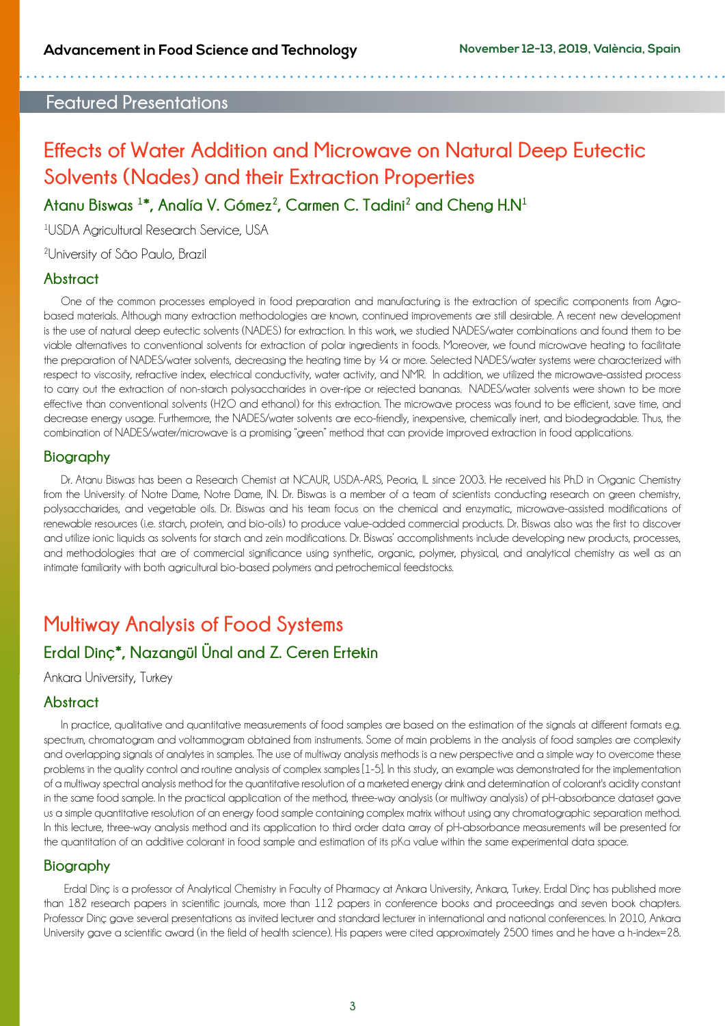## **Featured Presentations**

## **Effects of Water Addition and Microwave on Natural Deep Eutectic Solvents (Nades) and their Extraction Properties**

**Atanu Biswas <sup>1</sup> \*, Analía V. Gómez2, Carmen C. Tadini2 and Cheng H.N1**

1 USDA Agricultural Research Service, USA

2 University of São Paulo, Brazil

#### **Abstract**

One of the common processes employed in food preparation and manufacturing is the extraction of specific components from Agrobased materials. Although many extraction methodologies are known, continued improvements are still desirable. A recent new development is the use of natural deep eutectic solvents (NADES) for extraction. In this work, we studied NADES/water combinations and found them to be viable alternatives to conventional solvents for extraction of polar ingredients in foods. Moreover, we found microwave heating to facilitate the preparation of NADES/water solvents, decreasing the heating time by ¼ or more. Selected NADES/water systems were characterized with respect to viscosity, refractive index, electrical conductivity, water activity, and NMR. In addition, we utilized the microwave-assisted process to carry out the extraction of non-starch polysaccharides in over-ripe or rejected bananas. NADES/water solvents were shown to be more effective than conventional solvents (H2O and ethanol) for this extraction. The microwave process was found to be efficient, save time, and decrease energy usage. Furthermore, the NADES/water solvents are eco-friendly, inexpensive, chemically inert, and biodegradable. Thus, the combination of NADES/water/microwave is a promising "green" method that can provide improved extraction in food applications.

#### **Biography**

Dr. Atanu Biswas has been a Research Chemist at NCAUR, USDA-ARS, Peoria, IL since 2003. He received his Ph.D in Organic Chemistry from the University of Notre Dame, Notre Dame, IN. Dr. Biswas is a member of a team of scientists conducting research on green chemistry, polysaccharides, and vegetable oils. Dr. Biswas and his team focus on the chemical and enzymatic, microwave-assisted modifications of renewable resources (i.e. starch, protein, and bio-oils) to produce value-added commercial products. Dr. Biswas also was the first to discover and utilize ionic liquids as solvents for starch and zein modifications. Dr. Biswas' accomplishments include developing new products, processes, and methodologies that are of commercial significance using synthetic, organic, polymer, physical, and analytical chemistry as well as an intimate familiarity with both agricultural bio-based polymers and petrochemical feedstocks.

## **Multiway Analysis of Food Systems**

## **Erdal Dinç\*, Nazangül Ünal and Z. Ceren Ertekin**

Ankara University, Turkey

### **Abstract**

In practice, qualitative and quantitative measurements of food samples are based on the estimation of the signals at different formats e.g. spectrum, chromatogram and voltammogram obtained from instruments. Some of main problems in the analysis of food samples are complexity and overlapping signals of analytes in samples. The use of multiway analysis methods is a new perspective and a simple way to overcome these problems in the quality control and routine analysis of complex samples [1-5]. In this study, an example was demonstrated for the implementation of a multiway spectral analysis method for the quantitative resolution of a marketed energy drink and determination of colorant's acidity constant in the same food sample. In the practical application of the method, three-way analysis (or multiway analysis) of pH-absorbance dataset gave us a simple quantitative resolution of an energy food sample containing complex matrix without using any chromatographic separation method. In this lecture, three-way analysis method and its application to third order data array of pH-absorbance measurements will be presented for the quantitation of an additive colorant in food sample and estimation of its pKa value within the same experimental data space.

#### **Biography**

 Erdal Dinç is a professor of Analytical Chemistry in Faculty of Pharmacy at Ankara University, Ankara, Turkey. Erdal Dinç has published more than 182 research papers in scientific journals, more than 112 papers in conference books and proceedings and seven book chapters. Professor Dinç gave several presentations as invited lecturer and standard lecturer in international and national conferences. In 2010, Ankara University gave a scientific award (in the field of health science). His papers were cited approximately 2500 times and he have a h-index=28.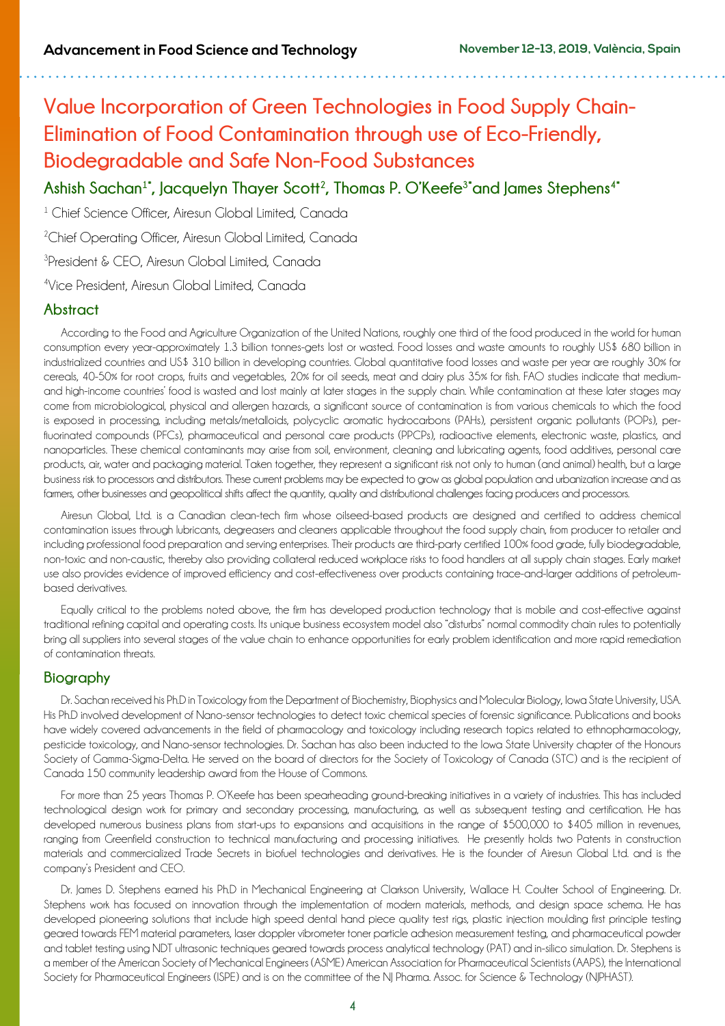## **Value Incorporation of Green Technologies in Food Supply Chain-Elimination of Food Contamination through use of Eco-Friendly, Biodegradable and Safe Non-Food Substances**

Ashish Sachan<sup>1\*</sup>, Jacquelyn Thayer Scott<sup>2</sup>, Thomas P. O'Keefe<sup>3\*</sup>and James Stephens<sup>4\*</sup>

<sup>1</sup> Chief Science Officer, Airesun Global Limited, Canada

<sup>2</sup>Chief Operating Officer, Airesun Global Limited, Canada

3 President & CEO, Airesun Global Limited, Canada

4 Vice President, Airesun Global Limited, Canada

### **Abstract**

According to the Food and Agriculture Organization of the United Nations, roughly one third of the food produced in the world for human consumption every year-approximately 1.3 billion tonnes-gets lost or wasted. Food losses and waste amounts to roughly US\$ 680 billion in industrialized countries and US\$ 310 billion in developing countries. Global quantitative food losses and waste per year are roughly 30% for cereals, 40-50% for root crops, fruits and vegetables, 20% for oil seeds, meat and dairy plus 35% for fish. FAO studies indicate that mediumand high-income countries' food is wasted and lost mainly at later stages in the supply chain. While contamination at these later stages may come from microbiological, physical and allergen hazards, a significant source of contamination is from various chemicals to which the food is exposed in processing, including metals/metalloids, polycyclic aromatic hydrocarbons (PAHs), persistent organic pollutants (POPs), perfluorinated compounds (PFCs), pharmaceutical and personal care products (PPCPs), radioactive elements, electronic waste, plastics, and nanoparticles. These chemical contaminants may arise from soil, environment, cleaning and lubricating agents, food additives, personal care products, air, water and packaging material. Taken together, they represent a significant risk not only to human (and animal) health, but a large business risk to processors and distributors. These current problems may be expected to grow as global population and urbanization increase and as farmers, other businesses and geopolitical shifts affect the quantity, quality and distributional challenges facing producers and processors.

Airesun Global, Ltd. is a Canadian clean-tech firm whose oilseed-based products are designed and certified to address chemical contamination issues through lubricants, degreasers and cleaners applicable throughout the food supply chain, from producer to retailer and including professional food preparation and serving enterprises. Their products are third-party certified 100% food grade, fully biodegradable, non-toxic and non-caustic, thereby also providing collateral reduced workplace risks to food handlers at all supply chain stages. Early market use also provides evidence of improved efficiency and cost-effectiveness over products containing trace-and-larger additions of petroleumbased derivatives.

Equally critical to the problems noted above, the firm has developed production technology that is mobile and cost-effective against traditional refining capital and operating costs. Its unique business ecosystem model also "disturbs" normal commodity chain rules to potentially bring all suppliers into several stages of the value chain to enhance opportunities for early problem identification and more rapid remediation of contamination threats.

### **Biography**

Dr. Sachan received his Ph.D in Toxicology from the Department of Biochemistry, Biophysics and Molecular Biology, Iowa State University, USA. His Ph.D involved development of Nano-sensor technologies to detect toxic chemical species of forensic significance. Publications and books have widely covered advancements in the field of pharmacology and toxicology including research topics related to ethnopharmacology, pesticide toxicology, and Nano-sensor technologies. Dr. Sachan has also been inducted to the Iowa State University chapter of the Honours Society of Gamma-Sigma-Delta. He served on the board of directors for the Society of Toxicology of Canada (STC) and is the recipient of Canada 150 community leadership award from the House of Commons.

For more than 25 years Thomas P. O'Keefe has been spearheading ground-breaking initiatives in a variety of industries. This has included technological design work for primary and secondary processing, manufacturing, as well as subsequent testing and certification. He has developed numerous business plans from start-ups to expansions and acquisitions in the range of \$500,000 to \$405 million in revenues, ranging from Greenfield construction to technical manufacturing and processing initiatives. He presently holds two Patents in construction materials and commercialized Trade Secrets in biofuel technologies and derivatives. He is the founder of Airesun Global Ltd. and is the company's President and CEO.

Dr. James D. Stephens earned his Ph.D in Mechanical Engineering at Clarkson University, Wallace H. Coulter School of Engineering. Dr. Stephens work has focused on innovation through the implementation of modern materials, methods, and design space schema. He has developed pioneering solutions that include high speed dental hand piece quality test rigs, plastic injection moulding first principle testing geared towards FEM material parameters, laser doppler vibrometer toner particle adhesion measurement testing, and pharmaceutical powder and tablet testing using NDT ultrasonic techniques geared towards process analytical technology (PAT) and in-silico simulation. Dr. Stephens is a member of the American Society of Mechanical Engineers (ASME) American Association for Pharmaceutical Scientists (AAPS), the International Society for Pharmaceutical Engineers (ISPE) and is on the committee of the NJ Pharma. Assoc. for Science & Technology (NJPHAST).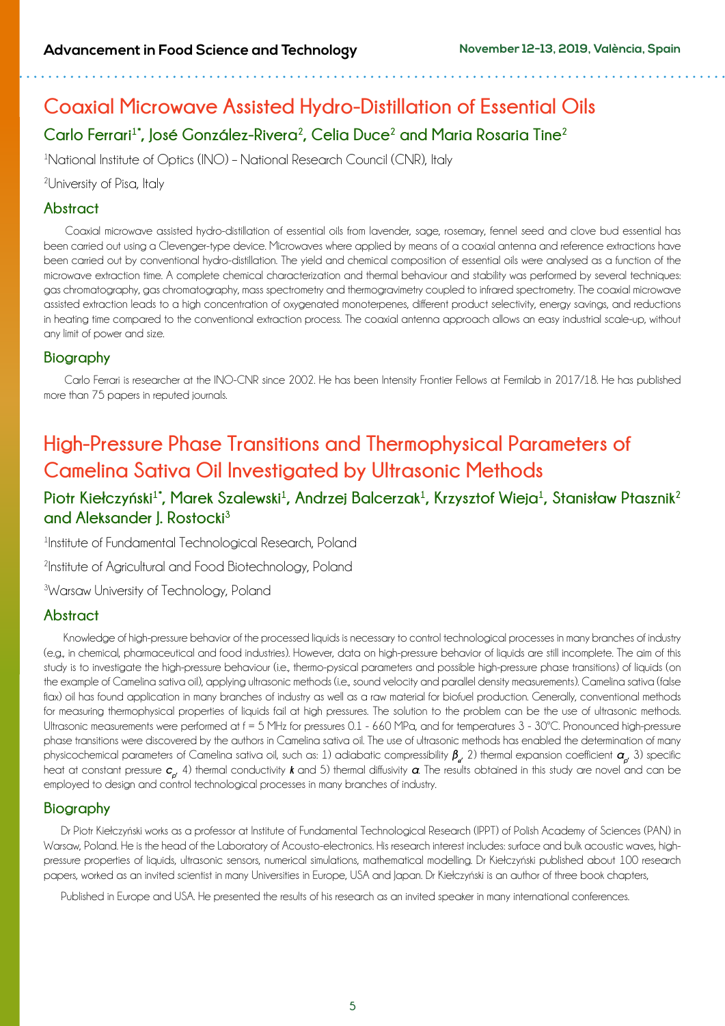## **Coaxial Microwave Assisted Hydro-Distillation of Essential Oils Carlo Ferrari1\*, José González-Rivera2, Celia Duce2 and Maria Rosaria Tine<sup>2</sup>**

<sup>1</sup>National Institute of Optics (INO) - National Research Council (CNR), Italy

### <sup>2</sup>University of Pisa, Italy

### **Abstract**

 Coaxial microwave assisted hydro-distillation of essential oils from lavender, sage, rosemary, fennel seed and clove bud essential has been carried out using a Clevenger-type device. Microwaves where applied by means of a coaxial antenna and reference extractions have been carried out by conventional hydro-distillation. The yield and chemical composition of essential oils were analysed as a function of the microwave extraction time. A complete chemical characterization and thermal behaviour and stability was performed by several techniques: gas chromatography, gas chromatography, mass spectrometry and thermogravimetry coupled to infrared spectrometry. The coaxial microwave assisted extraction leads to a high concentration of oxygenated monoterpenes, different product selectivity, energy savings, and reductions in heating time compared to the conventional extraction process. The coaxial antenna approach allows an easy industrial scale-up, without any limit of power and size.

### **Biography**

 Carlo Ferrari is researcher at the INO-CNR since 2002. He has been Intensity Frontier Fellows at Fermilab in 2017/18. He has published more than 75 papers in reputed journals.

## **High-Pressure Phase Transitions and Thermophysical Parameters of Camelina Sativa Oil Investigated by Ultrasonic Methods**

## **Piotr Kiełczyński1\*, Marek Szalewski<sup>1</sup> , Andrzej Balcerzak1 , Krzysztof Wieja1 , Stanisław Ptasznik<sup>2</sup> and Aleksander J. Rostocki<sup>3</sup>**

1 Institute of Fundamental Technological Research, Poland

<sup>2</sup>Institute of Agricultural and Food Biotechnology, Poland

3 Warsaw University of Technology, Poland

### **Abstract**

 Knowledge of high-pressure behavior of the processed liquids is necessary to control technological processes in many branches of industry (e.g., in chemical, pharmaceutical and food industries). However, data on high-pressure behavior of liquids are still incomplete. The aim of this study is to investigate the high-pressure behaviour (i.e., thermo-pysical parameters and possible high-pressure phase transitions) of liquids (on the example of Camelina sativa oil), applying ultrasonic methods (i.e., sound velocity and parallel density measurements). Camelina sativa (false flax) oil has found application in many branches of industry as well as a raw material for biofuel production. Generally, conventional methods for measuring thermophysical properties of liquids fail at high pressures. The solution to the problem can be the use of ultrasonic methods. Ultrasonic measurements were performed at f = 5 MHz for pressures 0.1 - 660 MPa, and for temperatures 3 - 30ºC. Pronounced high-pressure phase transitions were discovered by the authors in Camelina sativa oil. The use of ultrasonic methods has enabled the determination of many physicochemical parameters of Camelina sativa oil, such as: 1) adiabatic compressibility *β<sup>a</sup>* , 2) thermal expansion coefficient *αp*, 3) specific heat at constant pressure *c<sub>u</sub>*, 4) thermal conductivity *k* and 5) thermal diffusivity *α*. The results obtained in this study are novel and can be employed to design and control technological processes in many branches of industry.

### **Biography**

Dr Piotr Kiełczyński works as a professor at Institute of Fundamental Technological Research (IPPT) of Polish Academy of Sciences (PAN) in Warsaw, Poland. He is the head of the Laboratory of Acousto-electronics. His research interest includes: surface and bulk acoustic waves, highpressure properties of liquids, ultrasonic sensors, numerical simulations, mathematical modelling. Dr Kiełczyński published about 100 research papers, worked as an invited scientist in many Universities in Europe, USA and Japan. Dr Kiełczyński is an author of three book chapters,

Published in Europe and USA. He presented the results of his research as an invited speaker in many international conferences.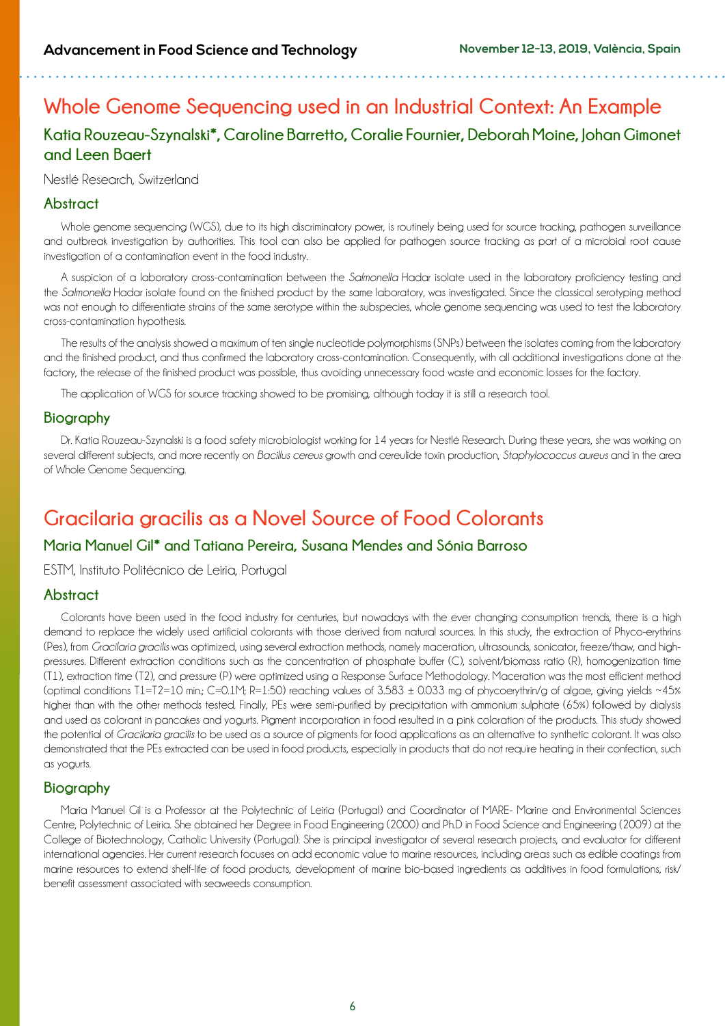## **Whole Genome Sequencing used in an Industrial Context: An Example Katia Rouzeau-Szynalski\*, Caroline Barretto, Coralie Fournier, Deborah Moine, Johan Gimonet and Leen Baert**

#### Nestlé Research, Switzerland

### **Abstract**

Whole genome sequencing (WGS), due to its high discriminatory power, is routinely being used for source tracking, pathogen surveillance and outbreak investigation by authorities. This tool can also be applied for pathogen source tracking as part of a microbial root cause investigation of a contamination event in the food industry.

A suspicion of a laboratory cross-contamination between the *Salmonella* Hadar isolate used in the laboratory proficiency testing and the *Salmonella* Hadar isolate found on the finished product by the same laboratory, was investigated. Since the classical serotyping method was not enough to differentiate strains of the same serotype within the subspecies, whole genome sequencing was used to test the laboratory cross-contamination hypothesis.

The results of the analysis showed a maximum of ten single nucleotide polymorphisms (SNPs) between the isolates coming from the laboratory and the finished product, and thus confirmed the laboratory cross-contamination. Consequently, with all additional investigations done at the factory, the release of the finished product was possible, thus avoiding unnecessary food waste and economic losses for the factory.

The application of WGS for source tracking showed to be promising, although today it is still a research tool.

### **Biography**

Dr. Katia Rouzeau-Szynalski is a food safety microbiologist working for 14 years for Nestlé Research. During these years, she was working on several different subjects, and more recently on *Bacillus cereus* growth and cereulide toxin production, *Staphylococcus aureus* and in the area of Whole Genome Sequencing.

## **Gracilaria gracilis as a Novel Source of Food Colorants**

### **Maria Manuel Gil\* and Tatiana Pereira, Susana Mendes and Sónia Barroso**

ESTM, Instituto Politécnico de Leiria, Portugal

### **Abstract**

Colorants have been used in the food industry for centuries, but nowadays with the ever changing consumption trends, there is a high demand to replace the widely used artificial colorants with those derived from natural sources. In this study, the extraction of Phyco-erythrins (Pes), from *Gracilaria gracilis* was optimized, using several extraction methods, namely maceration, ultrasounds, sonicator, freeze/thaw, and highpressures. Different extraction conditions such as the concentration of phosphate buffer (C), solvent/biomass ratio (R), homogenization time (T1), extraction time (T2), and pressure (P) were optimized using a Response Surface Methodology. Maceration was the most efficient method (optimal conditions  $T1=T2=10$  min.;  $C=0.1M$ ;  $R=1:50$ ) reaching values of  $3.583 \pm 0.033$  mg of phycoerythrin/g of algae, giving yields ~45% higher than with the other methods tested. Finally, PEs were semi-purified by precipitation with ammonium sulphate (65%) followed by dialysis and used as colorant in pancakes and yogurts. Pigment incorporation in food resulted in a pink coloration of the products. This study showed the potential of *Gracilaria gracilis* to be used as a source of pigments for food applications as an alternative to synthetic colorant. It was also demonstrated that the PEs extracted can be used in food products, especially in products that do not require heating in their confection, such as yogurts.

### **Biography**

Maria Manuel Gil is a Professor at the Polytechnic of Leiria (Portugal) and Coordinator of MARE- Marine and Environmental Sciences Centre, Polytechnic of Leiria. She obtained her Degree in Food Engineering (2000) and Ph.D in Food Science and Engineering (2009) at the College of Biotechnology, Catholic University (Portugal). She is principal investigator of several research projects, and evaluator for different international agencies. Her current research focuses on add economic value to marine resources, including areas such as edible coatings from marine resources to extend shelf-life of food products, development of marine bio-based ingredients as additives in food formulations, risk/ benefit assessment associated with seaweeds consumption.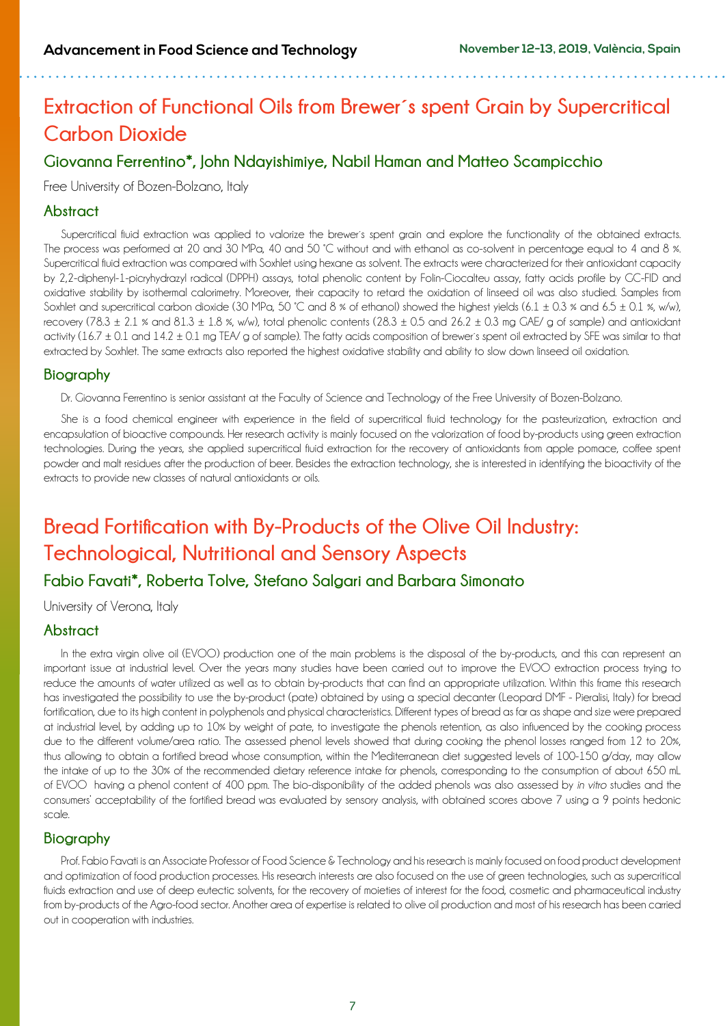## **Extraction of Functional Oils from Brewer´s spent Grain by Supercritical Carbon Dioxide**

## **Giovanna Ferrentino\*, John Ndayishimiye, Nabil Haman and Matteo Scampicchio**

Free University of Bozen-Bolzano, Italy

#### **Abstract**

Supercritical fluid extraction was applied to valorize the brewer´s spent grain and explore the functionality of the obtained extracts. The process was performed at 20 and 30 MPa, 40 and 50 °C without and with ethanol as co-solvent in percentage equal to 4 and 8 %. Supercritical fluid extraction was compared with Soxhlet using hexane as solvent. The extracts were characterized for their antioxidant capacity by 2,2-diphenyl-1-picryhydrazyl radical (DPPH) assays, total phenolic content by Folin-Ciocalteu assay, fatty acids profile by GC-FID and oxidative stability by isothermal calorimetry. Moreover, their capacity to retard the oxidation of linseed oil was also studied. Samples from Soxhlet and supercritical carbon dioxide (30 MPa, 50 °C and 8 % of ethanol) showed the highest yields (6.1  $\pm$  0.3 % and 6.5  $\pm$  0.1 %, w/w), recovery (78.3  $\pm$  2.1 % and 81.3  $\pm$  1.8 %, w/w), total phenolic contents (28.3  $\pm$  0.5 and 26.2  $\pm$  0.3 mg GAE/ g of sample) and antioxidant activity (16.7  $\pm$  0.1 and 14.2  $\pm$  0.1 mg TEA/ g of sample). The fatty acids composition of brewer's spent oil extracted by SFE was similar to that extracted by Soxhlet. The same extracts also reported the highest oxidative stability and ability to slow down linseed oil oxidation.

#### **Biography**

Dr. Giovanna Ferrentino is senior assistant at the Faculty of Science and Technology of the Free University of Bozen-Bolzano.

She is a food chemical engineer with experience in the field of supercritical fluid technology for the pasteurization, extraction and encapsulation of bioactive compounds. Her research activity is mainly focused on the valorization of food by-products using green extraction technologies. During the years, she applied supercritical fluid extraction for the recovery of antioxidants from apple pomace, coffee spent powder and malt residues after the production of beer. Besides the extraction technology, she is interested in identifying the bioactivity of the extracts to provide new classes of natural antioxidants or oils.

## **Bread Fortification with By-Products of the Olive Oil Industry: Technological, Nutritional and Sensory Aspects**

### **Fabio Favati\*, Roberta Tolve, Stefano Salgari and Barbara Simonato**

University of Verona, Italy

### **Abstract**

In the extra virgin olive oil (EVOO) production one of the main problems is the disposal of the by-products, and this can represent an important issue at industrial level. Over the years many studies have been carried out to improve the EVOO extraction process trying to reduce the amounts of water utilized as well as to obtain by-products that can find an appropriate utilization. Within this frame this research has investigated the possibility to use the by-product (pate) obtained by using a special decanter (Leopard DMF - Pieralisi, Italy) for bread fortification, due to its high content in polyphenols and physical characteristics. Different types of bread as far as shape and size were prepared at industrial level, by adding up to 10% by weight of pate, to investigate the phenols retention, as also influenced by the cooking process due to the different volume/area ratio. The assessed phenol levels showed that during cooking the phenol losses ranged from 12 to 20%, thus allowing to obtain a fortified bread whose consumption, within the Mediterranean diet suggested levels of 100-150 g/day, may allow the intake of up to the 30% of the recommended dietary reference intake for phenols, corresponding to the consumption of about 650 mL of EVOO having a phenol content of 400 ppm. The bio-disponibility of the added phenols was also assessed by *in vitro* studies and the consumers' acceptability of the fortified bread was evaluated by sensory analysis, with obtained scores above 7 using a 9 points hedonic scale.

### **Biography**

Prof. Fabio Favati is an Associate Professor of Food Science & Technology and his research is mainly focused on food product development and optimization of food production processes. His research interests are also focused on the use of green technologies, such as supercritical fluids extraction and use of deep eutectic solvents, for the recovery of moieties of interest for the food, cosmetic and pharmaceutical industry from by-products of the Agro-food sector. Another area of expertise is related to olive oil production and most of his research has been carried out in cooperation with industries.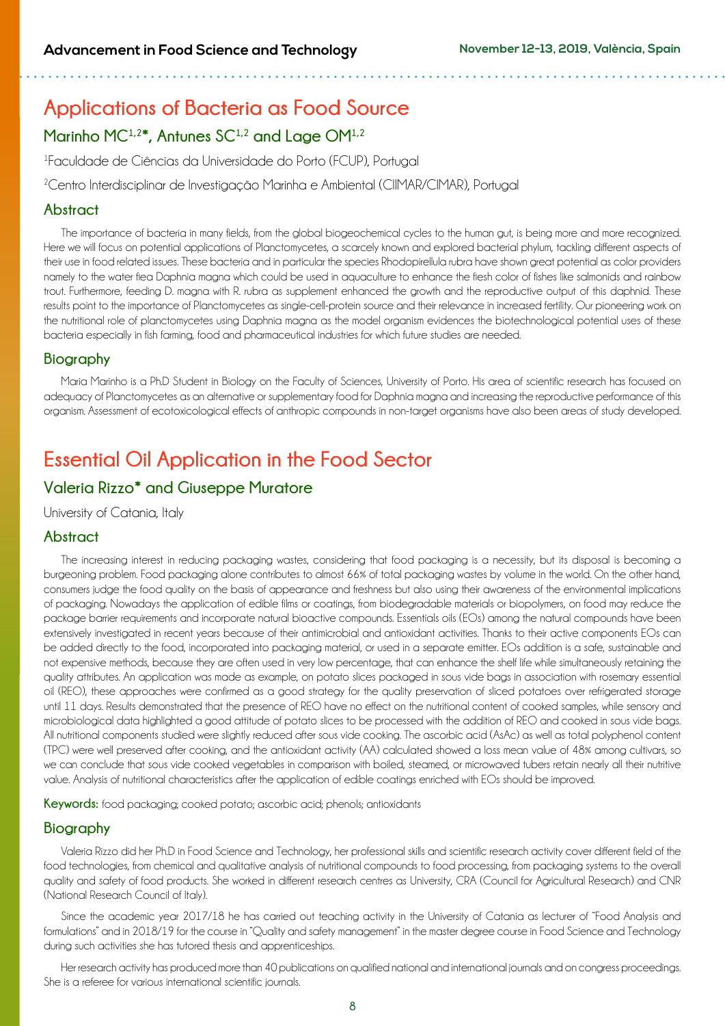## **Applications of Bacteria as Food Source**  Marinho MC<sup>1,2\*</sup>, Antunes SC<sup>1,2</sup> and Lage OM<sup>1,2</sup>

1 Faculdade de Ciências da Universidade do Porto (FCUP), Portugal

<sup>2</sup>Centro Interdisciplinar de Investigação Marinha e Ambiental (CIIMAR/CIMAR), Portugal

#### **Abstract**

The importance of bacteria in many fields, from the global biogeochemical cycles to the human gut, is being more and more recognized. Here we will focus on potential applications of Planctomycetes, a scarcely known and explored bacterial phylum, tackling different aspects of their use in food related issues. These bacteria and in particular the species Rhodopirellula rubra have shown great potential as color providers namely to the water flea Daphnia magna which could be used in aquaculture to enhance the flesh color of fishes like salmonids and rainbow trout. Furthermore, feeding D. magna with R. rubra as supplement enhanced the growth and the reproductive output of this daphnid. These results point to the importance of Planctomycetes as single-cell-protein source and their relevance in increased fertility. Our pioneering work on the nutritional role of planctomycetes using Daphnia magna as the model organism evidences the biotechnological potential uses of these bacteria especially in fish farming, food and pharmaceutical industries for which future studies are needed.

#### **Biography**

Maria Marinho is a Ph.D Student in Biology on the Faculty of Sciences, University of Porto. His area of scientific research has focused on adequacy of Planctomycetes as an alternative or supplementary food for Daphnia magna and increasing the reproductive performance of this organism. Assessment of ecotoxicological effects of anthropic compounds in non-target organisms have also been areas of study developed.

## **Essential Oil Application in the Food Sector**

## **Valeria Rizzo\* and Giuseppe Muratore**

University of Catania, Italy

#### **Abstract**

The increasing interest in reducing packaging wastes, considering that food packaging is a necessity, but its disposal is becoming a burgeoning problem. Food packaging alone contributes to almost 66% of total packaging wastes by volume in the world. On the other hand, consumers judge the food quality on the basis of appearance and freshness but also using their awareness of the environmental implications of packaging. Nowadays the application of edible films or coatings, from biodegradable materials or biopolymers, on food may reduce the package barrier requirements and incorporate natural bioactive compounds. Essentials oils (EOs) among the natural compounds have been extensively investigated in recent years because of their antimicrobial and antioxidant activities. Thanks to their active components EOs can be added directly to the food, incorporated into packaging material, or used in a separate emitter. EOs addition is a safe, sustainable and not expensive methods, because they are often used in very low percentage, that can enhance the shelf life while simultaneously retaining the quality attributes. An application was made as example, on potato slices packaged in sous vide bags in association with rosemary essential oil (REO), these approaches were confirmed as a good strategy for the quality preservation of sliced potatoes over refrigerated storage until 11 days. Results demonstrated that the presence of REO have no effect on the nutritional content of cooked samples, while sensory and microbiological data highlighted a good attitude of potato slices to be processed with the addition of REO and cooked in sous vide bags. All nutritional components studied were slightly reduced after sous vide cooking. The ascorbic acid (AsAc) as well as total polyphenol content (TPC) were well preserved after cooking, and the antioxidant activity (AA) calculated showed a loss mean value of 48% among cultivars, so we can conclude that sous vide cooked vegetables in comparison with boiled, steamed, or microwaved tubers retain nearly all their nutritive value. Analysis of nutritional characteristics after the application of edible coatings enriched with EOs should be improved.

**Keywords:** food packaging; cooked potato; ascorbic acid; phenols; antioxidants

### **Biography**

Valeria Rizzo did her Ph.D in Food Science and Technology, her professional skills and scientific research activity cover different field of the food technologies, from chemical and qualitative analysis of nutritional compounds to food processing, from packaging systems to the overall quality and safety of food products. She worked in different research centres as University, CRA (Council for Agricultural Research) and CNR (National Research Council of Italy).

Since the academic year 2017/18 he has carried out teaching activity in the University of Catania as lecturer of "Food Analysis and formulations" and in 2018/19 for the course in "Quality and safety management" in the master degree course in Food Science and Technology during such activities she has tutored thesis and apprenticeships.

Her research activity has produced more than 40 publications on qualified national and international journals and on congress proceedings. She is a referee for various international scientific journals.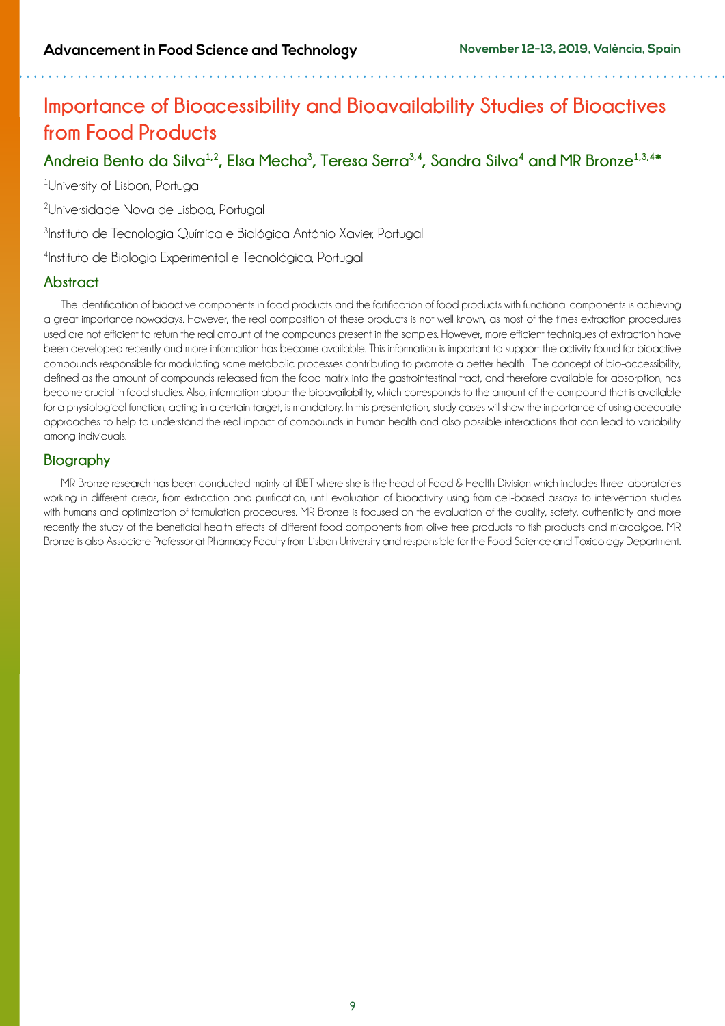## **Importance of Bioacessibility and Bioavailability Studies of Bioactives from Food Products**

## **Andreia Bento da Silva1,2, Elsa Mecha3 , Teresa Serra3,4, Sandra Silva4 and MR Bronze1,3,4\***

1 University of Lisbon, Portugal

2 Universidade Nova de Lisboa, Portugal

3 Instituto de Tecnologia Química e Biológica António Xavier, Portugal

4 Instituto de Biologia Experimental e Tecnológica, Portugal

### **Abstract**

The identification of bioactive components in food products and the fortification of food products with functional components is achieving a great importance nowadays. However, the real composition of these products is not well known, as most of the times extraction procedures used are not efficient to return the real amount of the compounds present in the samples. However, more efficient techniques of extraction have been developed recently and more information has become available. This information is important to support the activity found for bioactive compounds responsible for modulating some metabolic processes contributing to promote a better health. The concept of bio-accessibility, defined as the amount of compounds released from the food matrix into the gastrointestinal tract, and therefore available for absorption, has become crucial in food studies. Also, information about the bioavailability, which corresponds to the amount of the compound that is available for a physiological function, acting in a certain target, is mandatory. In this presentation, study cases will show the importance of using adequate approaches to help to understand the real impact of compounds in human health and also possible interactions that can lead to variability among individuals.

### **Biography**

MR Bronze research has been conducted mainly at iBET where she is the head of Food & Health Division which includes three laboratories working in different areas, from extraction and purification, until evaluation of bioactivity using from cell-based assays to intervention studies with humans and optimization of formulation procedures. MR Bronze is focused on the evaluation of the quality, safety, authenticity and more recently the study of the beneficial health effects of different food components from olive tree products to fish products and microalgae. MR Bronze is also Associate Professor at Pharmacy Faculty from Lisbon University and responsible for the Food Science and Toxicology Department.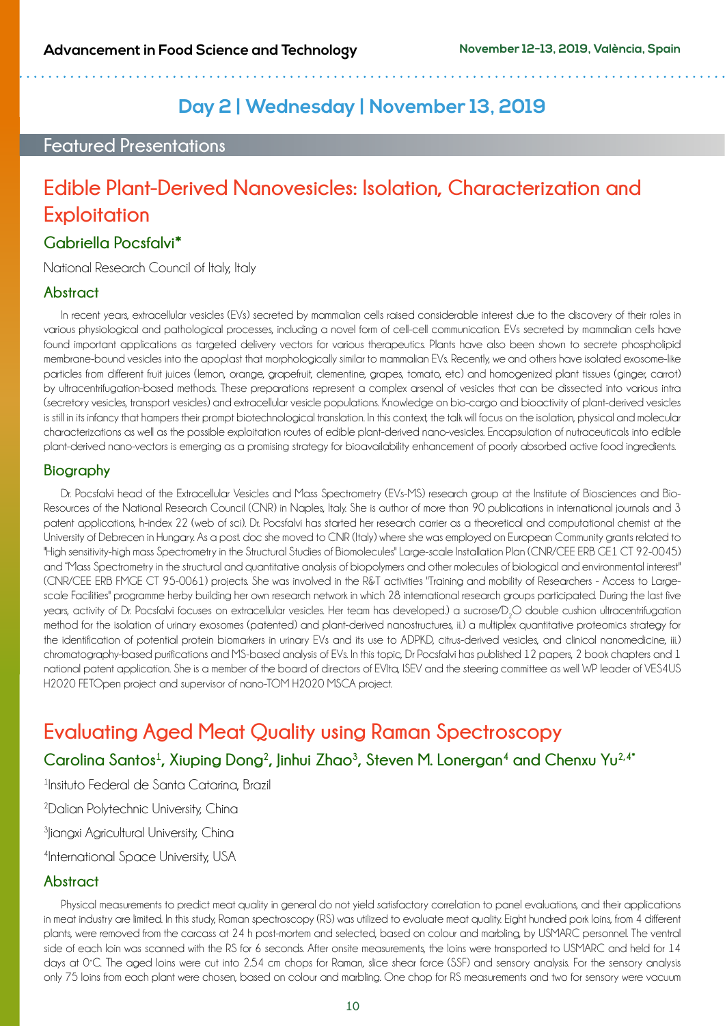## **Day 2 | Wednesday | November 13, 2019**

## **Featured Presentations**

## **Edible Plant-Derived Nanovesicles: Isolation, Characterization and Exploitation**

### **Gabriella Pocsfalvi\***

National Research Council of Italy, Italy

#### **Abstract**

In recent years, extracellular vesicles (EVs) secreted by mammalian cells raised considerable interest due to the discovery of their roles in various physiological and pathological processes, including a novel form of cell-cell communication. EVs secreted by mammalian cells have found important applications as targeted delivery vectors for various therapeutics. Plants have also been shown to secrete phospholipid membrane-bound vesicles into the apoplast that morphologically similar to mammalian EVs. Recently, we and others have isolated exosome-like particles from different fruit juices (lemon, orange, grapefruit, clementine, grapes, tomato, etc) and homogenized plant tissues (ginger, carrot) by ultracentrifugation-based methods. These preparations represent a complex arsenal of vesicles that can be dissected into various intra (secretory vesicles, transport vesicles) and extracellular vesicle populations. Knowledge on bio-cargo and bioactivity of plant-derived vesicles is still in its infancy that hampers their prompt biotechnological translation. In this context, the talk will focus on the isolation, physical and molecular characterizations as well as the possible exploitation routes of edible plant-derived nano-vesicles. Encapsulation of nutraceuticals into edible plant-derived nano-vectors is emerging as a promising strategy for bioavailability enhancement of poorly absorbed active food ingredients.

#### **Biography**

Dr. Pocsfalvi head of the Extracellular Vesicles and Mass Spectrometry (EVs-MS) research group at the Institute of Biosciences and Bio-Resources of the National Research Council (CNR) in Naples, Italy. She is author of more than 90 publications in international journals and 3 patent applications, h-index 22 (web of sci). Dr. Pocsfalvi has started her research carrier as a theoretical and computational chemist at the University of Debrecen in Hungary. As a post. doc she moved to CNR (Italy) where she was employed on European Community grants related to "High sensitivity-high mass Spectrometry in the Structural Studies of Biomolecules" Large-scale Installation Plan (CNR/CEE ERB GE1 CT 92-0045) and "Mass Spectrometry in the structural and quantitative analysis of biopolymers and other molecules of biological and environmental interest" (CNR/CEE ERB FMGE CT 95-0061) projects. She was involved in the R&T activities "Training and mobility of Researchers - Access to Largescale Facilities" programme herby building her own research network in which 28 international research groups participated. During the last five years, activity of Dr. Pocsfalvi focuses on extracellular vesicles. Her team has developed.) a sucrose/D $_{2}$ O double cushion ultracentrifugation method for the isolation of urinary exosomes (patented) and plant-derived nanostructures, ii.) a multiplex quantitative proteomics strategy for the identification of potential protein biomarkers in urinary EVs and its use to ADPKD, citrus-derived vesicles, and clinical nanomedicine, iii.) chromatography-based purifications and MS-based analysis of EVs. In this topic, Dr Pocsfalvi has published 12 papers, 2 book chapters and 1 national patent application. She is a member of the board of directors of EVIta, ISEV and the steering committee as well WP leader of VES4US H2020 FETOpen project and supervisor of nano-TOM H2020 MSCA project.

## **Evaluating Aged Meat Quality using Raman Spectroscopy**

Carolina Santos<sup>1</sup>, Xiuping Dong<sup>2</sup>, Jinhui Zhao<sup>3</sup>, Steven M. Lonergan<sup>4</sup> and Chenxu Yu<sup>2,4\*</sup>

1 Insituto Federal de Santa Catarina, Brazil

2 Dalian Polytechnic University, China

<sup>3</sup>Jiangxi Agricultural University, China

4 International Space University, USA

### **Abstract**

Physical measurements to predict meat quality in general do not yield satisfactory correlation to panel evaluations, and their applications in meat industry are limited. In this study, Raman spectroscopy (RS) was utilized to evaluate meat quality. Eight hundred pork loins, from 4 different plants, were removed from the carcass at 24 h post-mortem and selected, based on colour and marbling, by USMARC personnel. The ventral side of each loin was scanned with the RS for 6 seconds. After onsite measurements, the loins were transported to USMARC and held for 14 days at 0˚C. The aged loins were cut into 2.54 cm chops for Raman, slice shear force (SSF) and sensory analysis. For the sensory analysis only 75 loins from each plant were chosen, based on colour and marbling. One chop for RS measurements and two for sensory were vacuum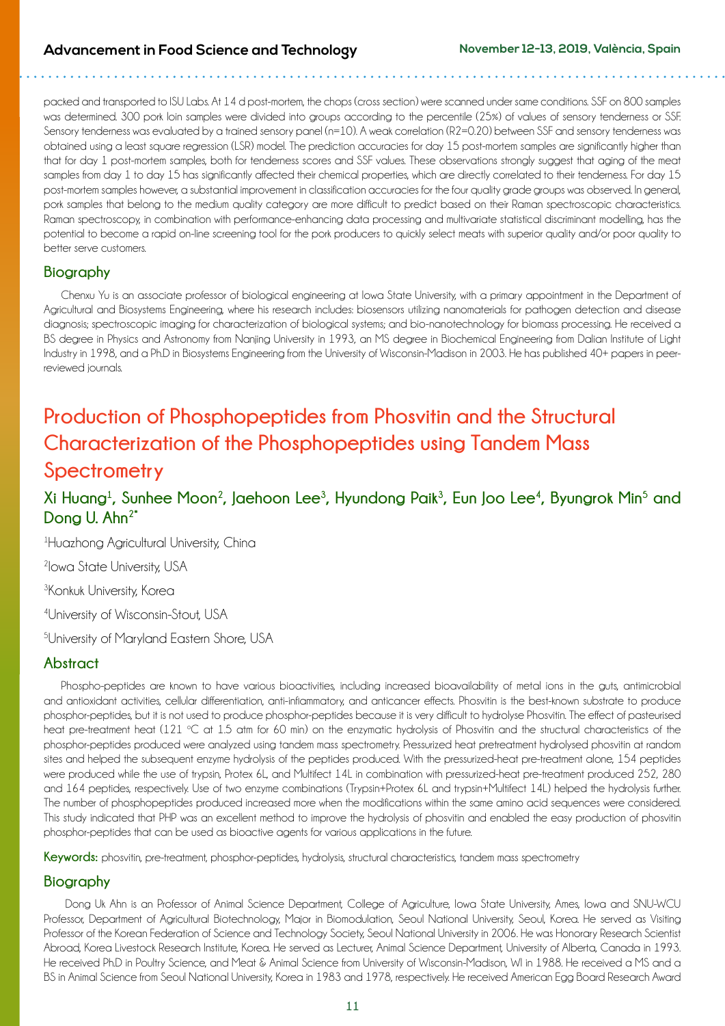packed and transported to ISU Labs. At 14 d post-mortem, the chops (cross section) were scanned under same conditions. SSF on 800 samples was determined. 300 pork loin samples were divided into groups according to the percentile (25%) of values of sensory tenderness or SSF. Sensory tenderness was evaluated by a trained sensory panel (n=10). A weak correlation (R2=0.20) between SSF and sensory tenderness was obtained using a least square regression (LSR) model. The prediction accuracies for day 15 post-mortem samples are significantly higher than that for day 1 post-mortem samples, both for tenderness scores and SSF values. These observations strongly suggest that aging of the meat samples from day 1 to day 15 has significantly affected their chemical properties, which are directly correlated to their tenderness. For day 15 post-mortem samples however, a substantial improvement in classification accuracies for the four quality grade groups was observed. In general, pork samples that belong to the medium quality category are more difficult to predict based on their Raman spectroscopic characteristics. Raman spectroscopy, in combination with performance-enhancing data processing and multivariate statistical discriminant modelling, has the potential to become a rapid on-line screening tool for the pork producers to quickly select meats with superior quality and/or poor quality to better serve customers.

### **Biography**

Chenxu Yu is an associate professor of biological engineering at Iowa State University, with a primary appointment in the Department of Agricultural and Biosystems Engineering, where his research includes: biosensors utilizing nanomaterials for pathogen detection and disease diagnosis; spectroscopic imaging for characterization of biological systems; and bio-nanotechnology for biomass processing. He received a BS degree in Physics and Astronomy from Nanjing University in 1993, an MS degree in Biochemical Engineering from Dalian Institute of Light Industry in 1998, and a Ph.D in Biosystems Engineering from the University of Wisconsin-Madison in 2003. He has published 40+ papers in peerreviewed journals.

## **Production of Phosphopeptides from Phosvitin and the Structural Characterization of the Phosphopeptides using Tandem Mass Spectrometry**

## Xi Huang<sup>1</sup>, Sunhee Moon<sup>2</sup>, Jaehoon Lee<sup>3</sup>, Hyundong Paik<sup>3</sup>, Eun Joo Lee<sup>4</sup>, Byungrok Min<sup>5</sup> and **Dong U. Ahn2\***

1 Huazhong Agricultural University, China

2 Iowa State University, USA

**3Konkuk University, Korea** 

4 University of Wisconsin-Stout, USA

5 University of Maryland Eastern Shore, USA

### **Abstract**

Phospho-peptides are known to have various bioactivities, including increased bioavailability of metal ions in the guts, antimicrobial and antioxidant activities, cellular differentiation, anti-inflammatory, and anticancer effects. Phosvitin is the best-known substrate to produce phosphor-peptides, but it is not used to produce phosphor-peptides because it is very difficult to hydrolyse Phosvitin. The effect of pasteurised heat pre-treatment heat (121 °C at 1.5 atm for 60 min) on the enzymatic hydrolysis of Phosvitin and the structural characteristics of the phosphor-peptides produced were analyzed using tandem mass spectrometry. Pressurized heat pretreatment hydrolysed phosvitin at random sites and helped the subsequent enzyme hydrolysis of the peptides produced. With the pressurized-heat pre-treatment alone, 154 peptides were produced while the use of trypsin, Protex 6L, and Multifect 14L in combination with pressurized-heat pre-treatment produced 252, 280 and 164 peptides, respectively. Use of two enzyme combinations (Trypsin+Protex 6L and trypsin+Multifect 14L) helped the hydrolysis further. The number of phosphopeptides produced increased more when the modifications within the same amino acid sequences were considered. This study indicated that PHP was an excellent method to improve the hydrolysis of phosvitin and enabled the easy production of phosvitin phosphor-peptides that can be used as bioactive agents for various applications in the future.

Keywords: phosvitin, pre-treatment, phosphor-peptides, hydrolysis, structural characteristics, tandem mass spectrometry

### **Biography**

 Dong Uk Ahn is an Professor of Animal Science Department, College of Agriculture, Iowa State University, Ames, Iowa and SNU-WCU Professor, Department of Agricultural Biotechnology, Major in Biomodulation, Seoul National University, Seoul, Korea. He served as Visiting Professor of the Korean Federation of Science and Technology Society, Seoul National University in 2006. He was Honorary Research Scientist Abroad, Korea Livestock Research Institute, Korea. He served as Lecturer, Animal Science Department, University of Alberta, Canada in 1993. He received Ph.D in Poultry Science, and Meat & Animal Science from University of Wisconsin-Madison, WI in 1988. He received a MS and a BS in Animal Science from Seoul National University, Korea in 1983 and 1978, respectively. He received American Egg Board Research Award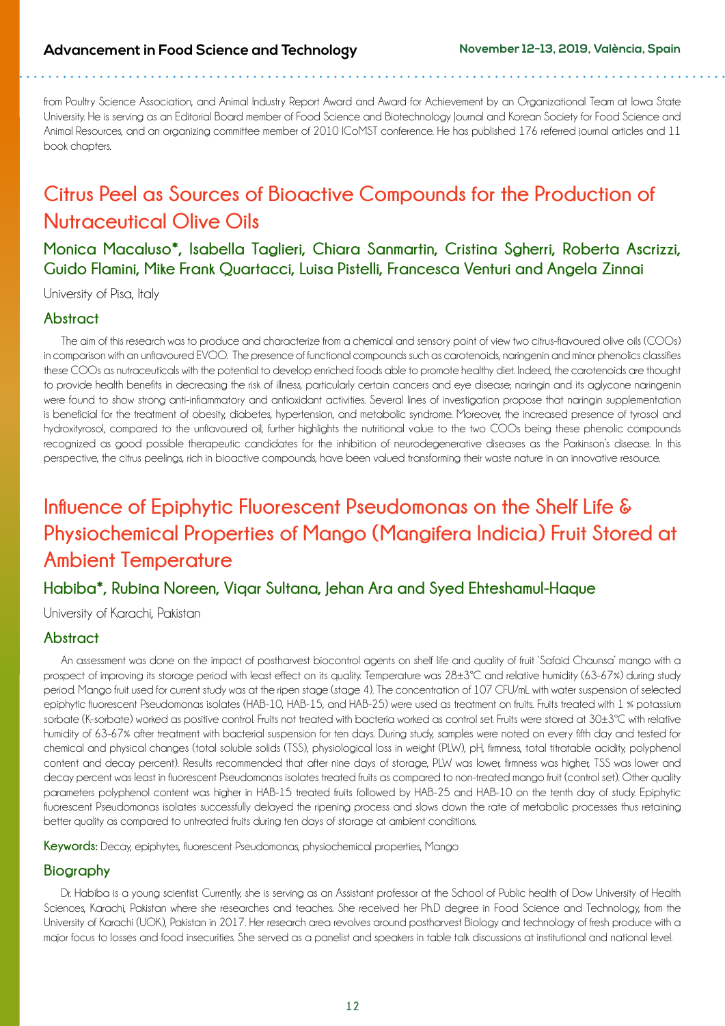from Poultry Science Association, and Animal Industry Report Award and Award for Achievement by an Organizational Team at Iowa State University. He is serving as an Editorial Board member of Food Science and Biotechnology Journal and Korean Society for Food Science and Animal Resources, and an organizing committee member of 2010 ICoMST conference. He has published 176 referred journal articles and 11 book chapters.

## **Citrus Peel as Sources of Bioactive Compounds for the Production of Nutraceutical Olive Oils**

**Monica Macaluso\*, Isabella Taglieri, Chiara Sanmartin, Cristina Sgherri, Roberta Ascrizzi, Guido Flamini, Mike Frank Quartacci, Luisa Pistelli, Francesca Venturi and Angela Zinnai**

University of Pisa, Italy

#### **Abstract**

The aim of this research was to produce and characterize from a chemical and sensory point of view two citrus-flavoured olive oils (COOs) in comparison with an unflavoured EVOO. The presence of functional compounds such as carotenoids, naringenin and minor phenolics classifies these COOs as nutraceuticals with the potential to develop enriched foods able to promote healthy diet. Indeed, the carotenoids are thought to provide health benefits in decreasing the risk of illness, particularly certain cancers and eye disease; naringin and its aglycone naringenin were found to show strong anti-inflammatory and antioxidant activities. Several lines of investigation propose that naringin supplementation is beneficial for the treatment of obesity, diabetes, hypertension, and metabolic syndrome. Moreover, the increased presence of tyrosol and hydroxityrosol, compared to the unflavoured oil, further highlights the nutritional value to the two COOs being these phenolic compounds recognized as good possible therapeutic candidates for the inhibition of neurodegenerative diseases as the Parkinson's disease. In this perspective, the citrus peelings, rich in bioactive compounds, have been valued transforming their waste nature in an innovative resource.

## **Influence of Epiphytic Fluorescent Pseudomonas on the Shelf Life & Physiochemical Properties of Mango (Mangifera Indicia) Fruit Stored at Ambient Temperature**

### **Habiba\*, Rubina Noreen, Viqar Sultana, Jehan Ara and Syed Ehteshamul-Haque**

University of Karachi, Pakistan

### **Abstract**

An assessment was done on the impact of postharvest biocontrol agents on shelf life and quality of fruit 'Safaid Chaunsa' mango with a prospect of improving its storage period with least effect on its quality. Temperature was 28±3ºC and relative humidity (63-67%) during study period. Mango fruit used for current study was at the ripen stage (stage 4). The concentration of 107 CFU/mL with water suspension of selected epiphytic fluorescent Pseudomonas isolates (HAB-10, HAB-15, and HAB-25) were used as treatment on fruits. Fruits treated with 1 % potassium sorbate (K-sorbate) worked as positive control. Fruits not treated with bacteria worked as control set. Fruits were stored at 30±3ºC with relative humidity of 63-67% after treatment with bacterial suspension for ten days. During study, samples were noted on every fifth day and tested for chemical and physical changes (total soluble solids (TSS), physiological loss in weight (PLW), pH, firmness, total titratable acidity, polyphenol content and decay percent). Results recommended that after nine days of storage, PLW was lower, firmness was higher, TSS was lower and decay percent was least in fluorescent Pseudomonas isolates treated fruits as compared to non-treated mango fruit (control set). Other quality parameters polyphenol content was higher in HAB-15 treated fruits followed by HAB-25 and HAB-10 on the tenth day of study. Epiphytic fluorescent Pseudomonas isolates successfully delayed the ripening process and slows down the rate of metabolic processes thus retaining better quality as compared to untreated fruits during ten days of storage at ambient conditions.

**Keywords:** Decay, epiphytes, fluorescent Pseudomonas, physiochemical properties, Mango

### **Biography**

Dr. Habiba is a young scientist. Currently, she is serving as an Assistant professor at the School of Public health of Dow University of Health Sciences, Karachi, Pakistan where she researches and teaches. She received her Ph.D degree in Food Science and Technology, from the University of Karachi (UOK), Pakistan in 2017. Her research area revolves around postharvest Biology and technology of fresh produce with a major focus to losses and food insecurities. She served as a panelist and speakers in table talk discussions at institutional and national level.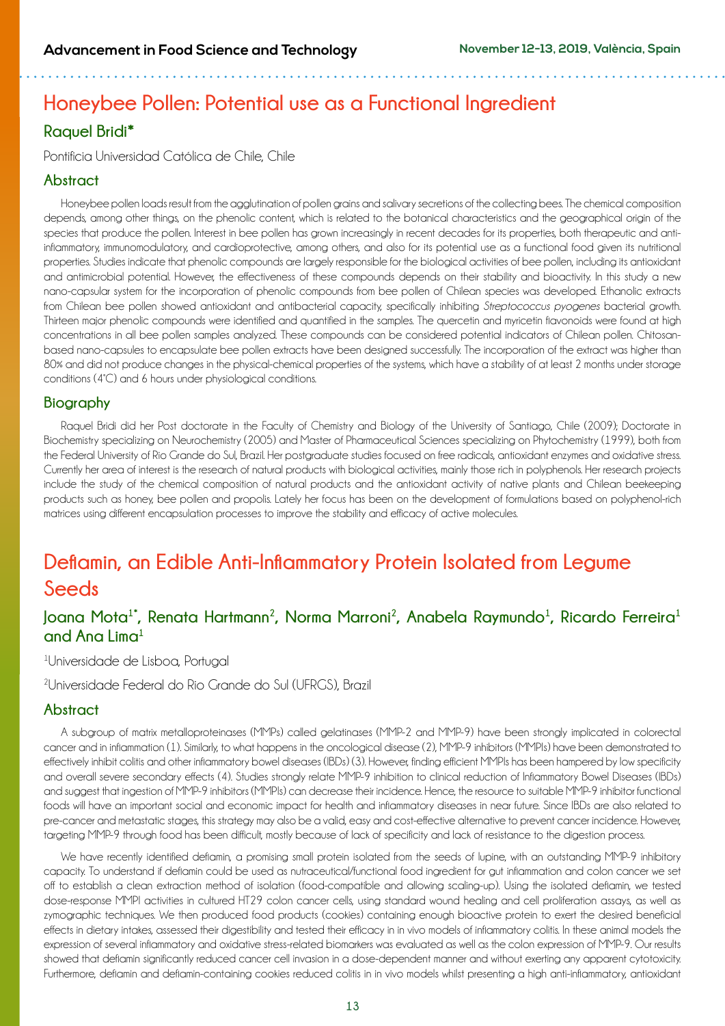## **Honeybee Pollen: Potential use as a Functional Ingredient**

## **Raquel Bridi\***

Pontificia Universidad Católica de Chile, Chile

### **Abstract**

Honeybee pollen loads result from the agglutination of pollen grains and salivary secretions of the collecting bees. The chemical composition depends, among other things, on the phenolic content, which is related to the botanical characteristics and the geographical origin of the species that produce the pollen. Interest in bee pollen has grown increasingly in recent decades for its properties, both therapeutic and antiinflammatory, immunomodulatory, and cardioprotective, among others, and also for its potential use as a functional food given its nutritional properties. Studies indicate that phenolic compounds are largely responsible for the biological activities of bee pollen, including its antioxidant and antimicrobial potential. However, the effectiveness of these compounds depends on their stability and bioactivity. In this study a new nano-capsular system for the incorporation of phenolic compounds from bee pollen of Chilean species was developed. Ethanolic extracts from Chilean bee pollen showed antioxidant and antibacterial capacity, specifically inhibiting *Streptococcus pyogenes* bacterial growth. Thirteen major phenolic compounds were identified and quantified in the samples. The quercetin and myricetin flavonoids were found at high concentrations in all bee pollen samples analyzed. These compounds can be considered potential indicators of Chilean pollen. Chitosanbased nano-capsules to encapsulate bee pollen extracts have been designed successfully. The incorporation of the extract was higher than 80% and did not produce changes in the physical-chemical properties of the systems, which have a stability of at least 2 months under storage conditions (4°C) and 6 hours under physiological conditions.

### **Biography**

Raquel Bridi did her Post doctorate in the Faculty of Chemistry and Biology of the University of Santiago, Chile (2009); Doctorate in Biochemistry specializing on Neurochemistry (2005) and Master of Pharmaceutical Sciences specializing on Phytochemistry (1999), both from the Federal University of Rio Grande do Sul, Brazil. Her postgraduate studies focused on free radicals, antioxidant enzymes and oxidative stress. Currently her area of interest is the research of natural products with biological activities, mainly those rich in polyphenols. Her research projects include the study of the chemical composition of natural products and the antioxidant activity of native plants and Chilean beekeeping products such as honey, bee pollen and propolis. Lately her focus has been on the development of formulations based on polyphenol-rich matrices using different encapsulation processes to improve the stability and efficacy of active molecules.

## **Deflamin, an Edible Anti-Inflammatory Protein Isolated from Legume Seeds**

## **Joana Mota1\*, Renata Hartmann2, Norma Marroni2, Anabela Raymundo<sup>1</sup> , Ricardo Ferreira<sup>1</sup> and Ana Lima1**

#### 1 Universidade de Lisboa, Portugal

2 Universidade Federal do Rio Grande do Sul (UFRGS), Brazil

### **Abstract**

A subgroup of matrix metalloproteinases (MMPs) called gelatinases (MMP-2 and MMP-9) have been strongly implicated in colorectal cancer and in inflammation (1). Similarly, to what happens in the oncological disease (2), MMP-9 inhibitors (MMPIs) have been demonstrated to effectively inhibit colitis and other inflammatory bowel diseases (IBDs) (3). However, finding efficient MMPIs has been hampered by low specificity and overall severe secondary effects (4). Studies strongly relate MMP-9 inhibition to clinical reduction of Inflammatory Bowel Diseases (IBDs) and suggest that ingestion of MMP-9 inhibitors (MMPIs) can decrease their incidence. Hence, the resource to suitable MMP-9 inhibitor functional foods will have an important social and economic impact for health and inflammatory diseases in near future. Since IBDs are also related to pre-cancer and metastatic stages, this strategy may also be a valid, easy and cost-effective alternative to prevent cancer incidence. However, targeting MMP-9 through food has been difficult, mostly because of lack of specificity and lack of resistance to the digestion process.

We have recently identified deflamin, a promising small protein isolated from the seeds of lupine, with an outstanding MMP-9 inhibitory capacity. To understand if deflamin could be used as nutraceutical/functional food ingredient for gut inflammation and colon cancer we set off to establish a clean extraction method of isolation (food-compatible and allowing scaling-up). Using the isolated deflamin, we tested dose-response MMPI activities in cultured HT29 colon cancer cells, using standard wound healing and cell proliferation assays, as well as zymographic techniques. We then produced food products (cookies) containing enough bioactive protein to exert the desired beneficial effects in dietary intakes, assessed their digestibility and tested their efficacy in in vivo models of inflammatory colitis. In these animal models the expression of several inflammatory and oxidative stress-related biomarkers was evaluated as well as the colon expression of MMP-9. Our results showed that deflamin significantly reduced cancer cell invasion in a dose-dependent manner and without exerting any apparent cytotoxicity. Furthermore, deflamin and deflamin-containing cookies reduced colitis in in vivo models whilst presenting a high anti-inflammatory, antioxidant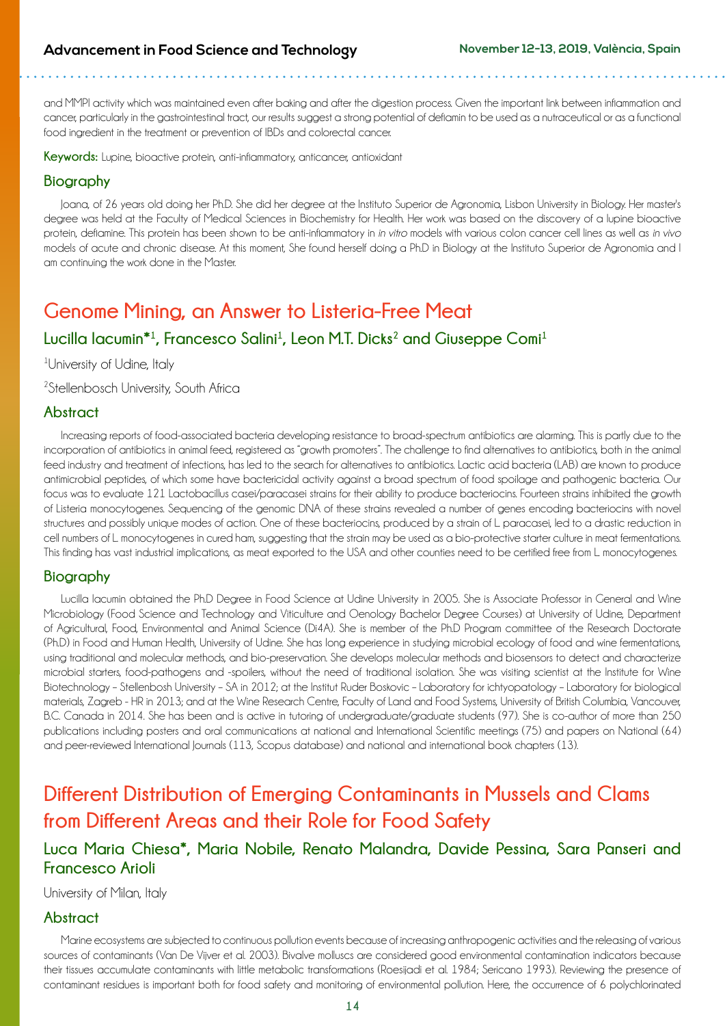and MMPI activity which was maintained even after baking and after the digestion process. Given the important link between inflammation and cancer, particularly in the gastrointestinal tract, our results suggest a strong potential of deflamin to be used as a nutraceutical or as a functional food ingredient in the treatment or prevention of IBDs and colorectal cancer.

Keywords: Lupine, bioactive protein, anti-inflammatory, anticancer, antioxidant

#### **Biography**

Joana, of 26 years old doing her Ph.D. She did her degree at the Instituto Superior de Agronomia, Lisbon University in Biology. Her master's degree was held at the Faculty of Medical Sciences in Biochemistry for Health. Her work was based on the discovery of a lupine bioactive protein, deflamine. This protein has been shown to be anti-inflammatory in *in vitro* models with various colon cancer cell lines as well as *in vivo*  models of acute and chronic disease. At this moment, She found herself doing a Ph.D in Biology at the Instituto Superior de Agronomia and I am continuing the work done in the Master.

## **Genome Mining, an Answer to Listeria-Free Meat**

### $L$ ucilla lacumin<sup>\*1</sup>, Francesco Salini<sup>1</sup>, Leon M.T. Dicks<sup>2</sup> and Giuseppe Comi<sup>1</sup>

<sup>1</sup>University of Udine, Italy

2 Stellenbosch University, South Africa

#### **Abstract**

Increasing reports of food-associated bacteria developing resistance to broad-spectrum antibiotics are alarming. This is partly due to the incorporation of antibiotics in animal feed, registered as "growth promoters". The challenge to find alternatives to antibiotics, both in the animal feed industry and treatment of infections, has led to the search for alternatives to antibiotics. Lactic acid bacteria (LAB) are known to produce antimicrobial peptides, of which some have bactericidal activity against a broad spectrum of food spoilage and pathogenic bacteria. Our focus was to evaluate 121 Lactobacillus casei/paracasei strains for their ability to produce bacteriocins. Fourteen strains inhibited the growth of Listeria monocytogenes. Sequencing of the genomic DNA of these strains revealed a number of genes encoding bacteriocins with novel structures and possibly unique modes of action. One of these bacteriocins, produced by a strain of L. paracasei, led to a drastic reduction in cell numbers of L. monocytogenes in cured ham, suggesting that the strain may be used as a bio-protective starter culture in meat fermentations. This finding has vast industrial implications, as meat exported to the USA and other counties need to be certified free from L. monocytogenes.

#### **Biography**

Lucilla Iacumin obtained the Ph.D Degree in Food Science at Udine University in 2005. She is Associate Professor in General and Wine Microbiology (Food Science and Technology and Viticulture and Oenology Bachelor Degree Courses) at University of Udine, Department of Agricultural, Food, Environmental and Animal Science (Di4A). She is member of the Ph.D Program committee of the Research Doctorate (Ph.D) in Food and Human Health, University of Udine. She has long experience in studying microbial ecology of food and wine fermentations, using traditional and molecular methods, and bio-preservation. She develops molecular methods and biosensors to detect and characterize microbial starters, food-pathogens and -spoilers, without the need of traditional isolation. She was visiting scientist at the Institute for Wine Biotechnology – Stellenbosh University – SA in 2012; at the Institut Ruder Boskovic – Laboratory for ichtyopatology – Laboratory for biological materials, Zagreb - HR in 2013; and at the Wine Research Centre, Faculty of Land and Food Systems, University of British Columbia, Vancouver, B.C. Canada in 2014. She has been and is active in tutoring of undergraduate/graduate students (97). She is co-author of more than 250 publications including posters and oral communications at national and International Scientific meetings (75) and papers on National (64) and peer-reviewed International Journals (113, Scopus database) and national and international book chapters (13).

## **Different Distribution of Emerging Contaminants in Mussels and Clams from Different Areas and their Role for Food Safety**

## **Luca Maria Chiesa\*, Maria Nobile, Renato Malandra, Davide Pessina, Sara Panseri and Francesco Arioli**

University of Milan, Italy

### **Abstract**

Marine ecosystems are subjected to continuous pollution events because of increasing anthropogenic activities and the releasing of various sources of contaminants (Van De Vijver et al. 2003). Bivalve molluscs are considered good environmental contamination indicators because their tissues accumulate contaminants with little metabolic transformations (Roesijadi et al. 1984; Sericano 1993). Reviewing the presence of contaminant residues is important both for food safety and monitoring of environmental pollution. Here, the occurrence of 6 polychlorinated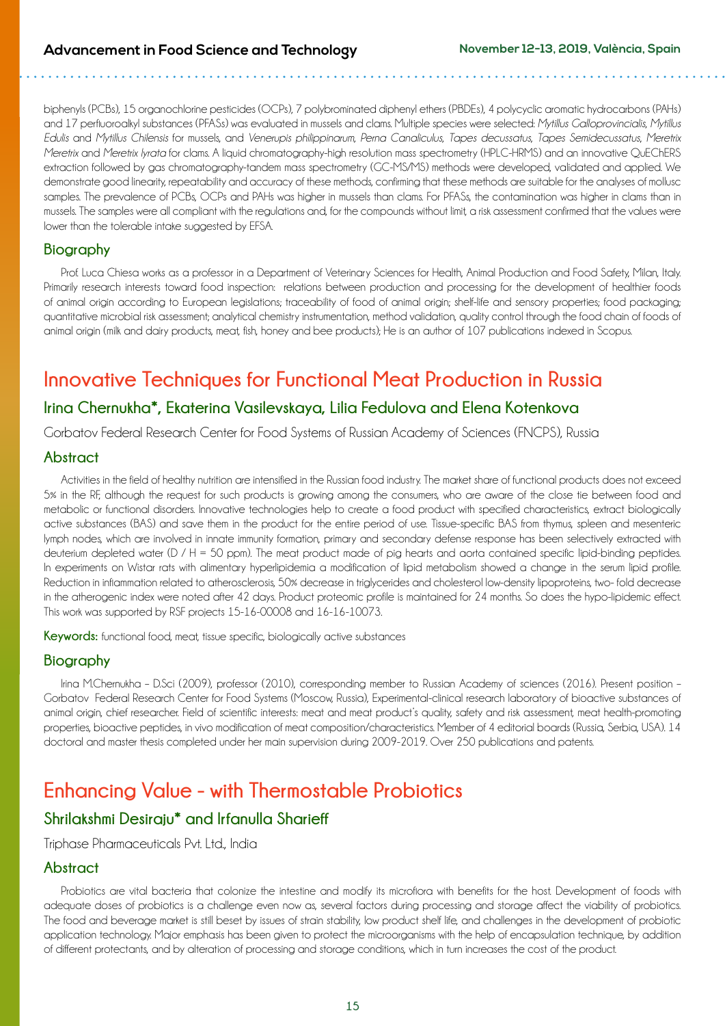biphenyls (PCBs), 15 organochlorine pesticides (OCPs), 7 polybrominated diphenyl ethers (PBDEs), 4 polycyclic aromatic hydrocarbons (PAHs) and 17 perfluoroalkyl substances (PFASs) was evaluated in mussels and clams. Multiple species were selected: *Mytillus Galloprovincialis*, *Mytillus Edulis* and *Mytillus Chilensis* for mussels, and *Venerupis philippinarum*, *Perna Canaliculus*, *Tapes decussatus*, *Tapes Semidecussatus*, *Meretrix Meretrix* and *Meretrix Iyrata* for clams. A liquid chromatography-high resolution mass spectrometry (HPLC-HRMS) and an innovative QuEChERS extraction followed by gas chromatography-tandem mass spectrometry (GC-MS/MS) methods were developed, validated and applied. We demonstrate good linearity, repeatability and accuracy of these methods, confirming that these methods are suitable for the analyses of mollusc samples. The prevalence of PCBs, OCPs and PAHs was higher in mussels than clams. For PFASs, the contamination was higher in clams than in mussels. The samples were all compliant with the regulations and, for the compounds without limit, a risk assessment confirmed that the values were lower than the tolerable intake suggested by EFSA.

### **Biography**

Prof. Luca Chiesa works as a professor in a Department of Veterinary Sciences for Health, Animal Production and Food Safety, Milan, Italy. Primarily research interests toward food inspection: relations between production and processing for the development of healthier foods of animal origin according to European legislations; traceability of food of animal origin; shelf-life and sensory properties; food packaging; quantitative microbial risk assessment; analytical chemistry instrumentation, method validation, quality control through the food chain of foods of animal origin (milk and dairy products, meat, fish, honey and bee products); He is an author of 107 publications indexed in Scopus.

## **Innovative Techniques for Functional Meat Production in Russia**

### **Irina Chernukha\*, Ekaterina Vasilevskaya, Lilia Fedulova and Elena Kotenkova**

Gorbatov Federal Research Center for Food Systems of Russian Academy of Sciences (FNCPS), Russia

### **Abstract**

Activities in the field of healthy nutrition are intensified in the Russian food industry. The market share of functional products does not exceed 5% in the RF, although the request for such products is growing among the consumers, who are aware of the close tie between food and metabolic or functional disorders. Innovative technologies help to create a food product with specified characteristics, extract biologically active substances (BAS) and save them in the product for the entire period of use. Tissue-specific BAS from thymus, spleen and mesenteric lymph nodes, which are involved in innate immunity formation, primary and secondary defense response has been selectively extracted with deuterium depleted water (D / H = 50 ppm). The meat product made of pig hearts and aorta contained specific lipid-binding peptides. In experiments on Wistar rats with alimentary hyperlipidemia a modification of lipid metabolism showed a change in the serum lipid profile. Reduction in inflammation related to atherosclerosis, 50% decrease in triglycerides and cholesterol low-density lipoproteins, two- fold decrease in the atherogenic index were noted after 42 days. Product proteomic profile is maintained for 24 months. So does the hypo-lipidemic effect. This work was supported by RSF projects 15-16-00008 and 16-16-10073.

**Keywords:** functional food, meat, tissue specific, biologically active substances

### **Biography**

Irina M.Chernukha – D.Sci (2009), professor (2010), corresponding member to Russian Academy of sciences (2016). Present position – Gorbatov Federal Research Center for Food Systems (Moscow, Russia), Experimental-clinical research laboratory of bioactive substances of animal origin, chief researcher. Field of scientific interests: meat and meat product's quality, safety and risk assessment, meat health-promoting properties, bioactive peptides, in vivo modification of meat composition/characteristics. Member of 4 editorial boards (Russia, Serbia, USA). 14 doctoral and master thesis completed under her main supervision during 2009-2019. Over 250 publications and patents.

## **Enhancing Value - with Thermostable Probiotics**

### **Shrilakshmi Desiraju\* and Irfanulla Sharieff**

Triphase Pharmaceuticals Pvt. Ltd., India

### **Abstract**

Probiotics are vital bacteria that colonize the intestine and modify its microflora with benefits for the host. Development of foods with adequate doses of probiotics is a challenge even now as, several factors during processing and storage affect the viability of probiotics. The food and beverage market is still beset by issues of strain stability, low product shelf life, and challenges in the development of probiotic application technology. Major emphasis has been given to protect the microorganisms with the help of encapsulation technique, by addition of different protectants, and by alteration of processing and storage conditions, which in turn increases the cost of the product.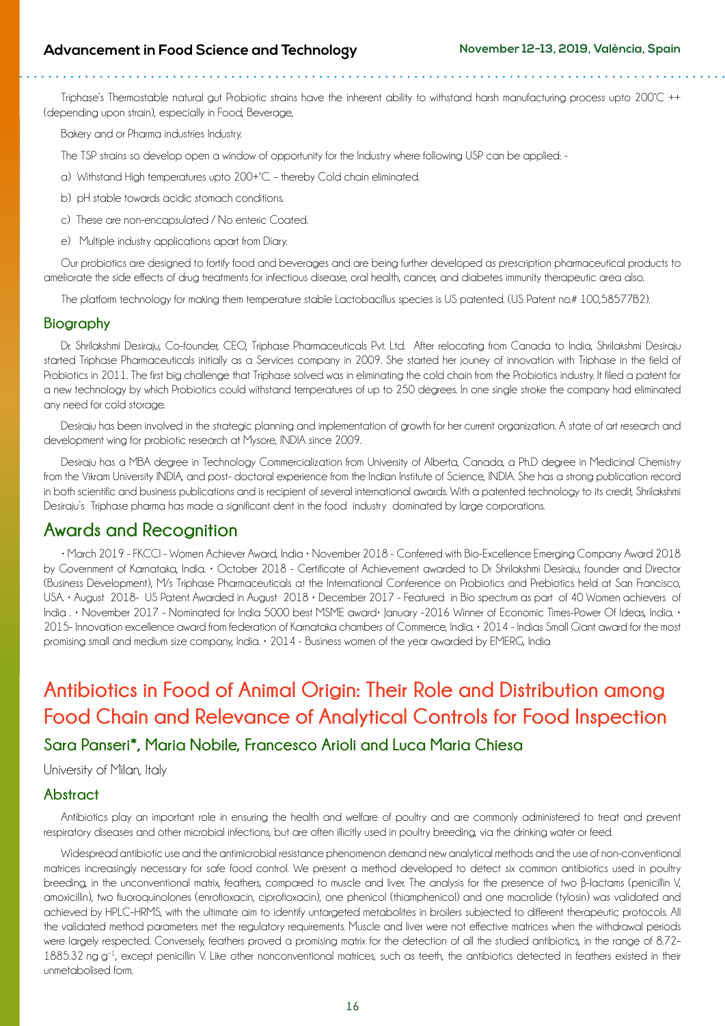Triphase's Thermostable natural gut Probiotic strains have the inherent ability to withstand harsh manufacturing process upto 200°C ++ (depending upon strain), especially in Food, Beverage,

Bakery and or Pharma industries Industry.

The TSP strains so develop open a window of opportunity for the Industry where following USP can be applied: -

- a) Withstand High temperatures upto 200+°C. thereby Cold chain eliminated.
- b) pH stable towards acidic stomach conditions.
- c) These are non-encapsulated / No enteric Coated.
- e) Multiple industry applications apart from Diary.

Our probiotics are designed to fortify food and beverages and are being further developed as prescription pharmaceutical products to ameliorate the side effects of drug treatments for infectious disease, oral health, cancer, and diabetes immunity therapeutic area also.

The platform technology for making them temperature stable Lactobacillus species is US patented. (US Patent no.# 100,58577B2).

#### **Biography**

Dr. Shrilakshmi Desiraju, Co-founder, CEO, Triphase Pharmaceuticals Pvt. Ltd. After relocating from Canada to India, Shrilakshmi Desiraju started Triphase Pharmaceuticals initially as a Services company in 2009. She started her jouney of innovation with Triphase in the field of Probiotics in 2011. The first big challenge that Triphase solved was in eliminating the cold chain from the Probiotics industry. It filed a patent for a new technology by which Probiotics could withstand temperatures of up to 250 degrees. In one single stroke the company had eliminated any need for cold storage.

Desiraju has been involved in the strategic planning and implementation of growth for her current organization. A state of art research and development wing for probiotic research at Mysore, INDIA since 2009.

Desiraju has a MBA degree in Technology Commercialization from University of Alberta, Canada, a Ph.D degree in Medicinal Chemistry from the Vikram University INDIA, and post- doctoral experience from the Indian Institute of Science, INDIA. She has a strong publication record in both scientific and business publications and is recipient of several international awards. With a patented technology to its credit, Shrilakshmi Desiraju's Triphase pharma has made a significant dent in the food industry dominated by large corporations.

## **Awards and Recognition**

• March 2019 - FKCCI - Women Achiever Award, India • November 2018 - Conferred with Bio-Excellence Emerging Company Award 2018 by Government of Karnataka, India. • October 2018 - Certificate of Achievement awarded to Dr Shrilakshmi Desiraju, founder and Director (Business Development), M/s Triphase Pharmaceuticals at the International Conference on Probiotics and Prebiotics held at San Francisco, USA. • August 2018- US Patent Awarded in August 2018 • December 2017 - Featured in Bio spectrum as part of 40 Women achievers of India . • November 2017 - Nominated for India 5000 best MSME award• January -2016 Winner of Economic Times-Power Of Ideas, India. • 2015- Innovation excellence award from federation of Karnataka chambers of Commerce, India. • 2014 - Indias Small Giant award for the most promising small and medium size company, India. • 2014 - Business women of the year awarded by EMERG, India

## **Antibiotics in Food of Animal Origin: Their Role and Distribution among Food Chain and Relevance of Analytical Controls for Food Inspection Sara Panseri\*, Maria Nobile, Francesco Arioli and Luca Maria Chiesa**

University of Milan, Italy

#### **Abstract**

Antibiotics play an important role in ensuring the health and welfare of poultry and are commonly administered to treat and prevent respiratory diseases and other microbial infections, but are often illicitly used in poultry breeding, via the drinking water or feed.

Widespread antibiotic use and the antimicrobial resistance phenomenon demand new analytical methods and the use of non-conventional matrices increasingly necessary for safe food control. We present a method developed to detect six common antibiotics used in poultry breeding, in the unconventional matrix, feathers, compared to muscle and liver. The analysis for the presence of two β-lactams (penicillin V, amoxicillin), two fluoroquinolones (enrofloxacin, ciprofloxacin), one phenicol (thiamphenicol) and one [macrolide](https://www.sciencedirect.com/topics/food-science/macrolides) (tylosin) was validated and achieved by HPLC–HRMS, with the ultimate aim to identify untargeted metabolites in broilers subjected to different therapeutic protocols. All the validated method parameters met the regulatory requirements. Muscle and liver were not effective matrices when the withdrawal periods were largely respected. Conversely, feathers proved a promising matrix for the detection of all the studied antibiotics, in the range of 8.72– 1885.32 ng g<sup>−1</sup>, except penicillin V. Like other nonconventional matrices, such as teeth, the antibiotics detected in feathers existed in their unmetabolised form.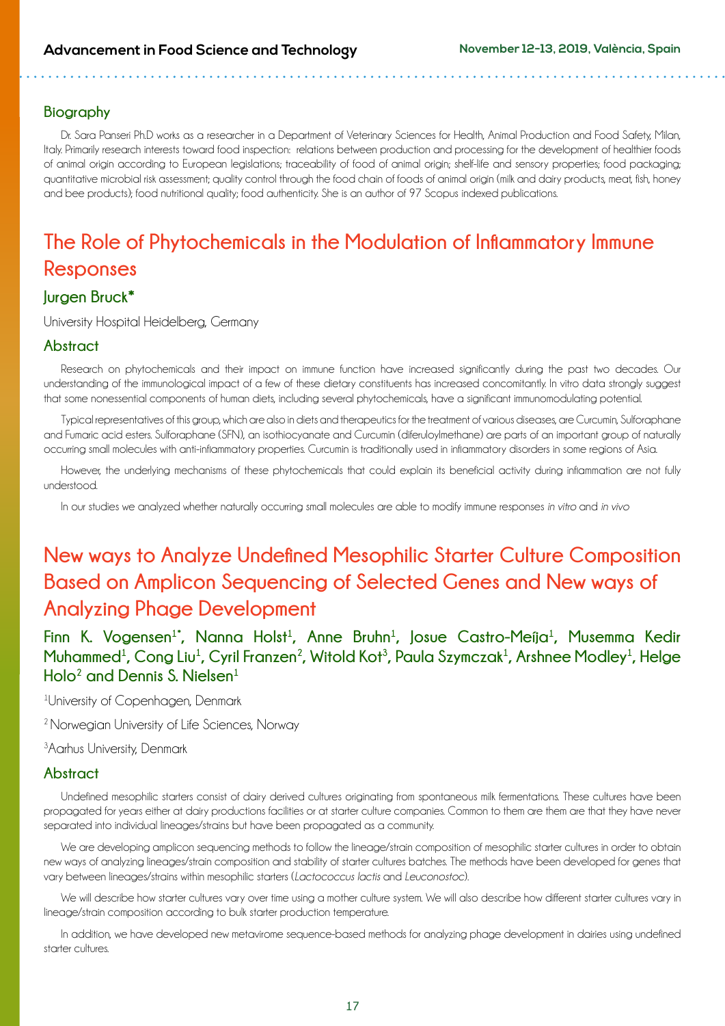### **Biography**

Dr. Sara Panseri Ph.D works as a researcher in a Department of Veterinary Sciences for Health, Animal Production and Food Safety, Milan, Italy. Primarily research interests toward food inspection: relations between production and processing for the development of healthier foods of animal origin according to European legislations; traceability of food of animal origin; shelf-life and sensory properties; food packaging; quantitative microbial risk assessment; quality control through the food chain of foods of animal origin (milk and dairy products, meat, fish, honey and bee products); food nutritional quality; food authenticity. She is an author of 97 Scopus indexed publications.

## **The Role of Phytochemicals in the Modulation of Inflammatory Immune Responses**

### **Jurgen Bruck\***

University Hospital Heidelberg, Germany

### **Abstract**

Research on phytochemicals and their impact on immune function have increased significantly during the past two decades. Our understanding of the immunological impact of a few of these dietary constituents has increased concomitantly. In vitro data strongly suggest that some nonessential components of human diets, including several phytochemicals, have a significant immunomodulating potential.

Typical representatives of this group, which are also in diets and therapeutics for the treatment of various diseases, are Curcumin, Sulforaphane and Fumaric acid esters. Sulforaphane (SFN), an isothiocyanate and Curcumin (diferuloylmethane) are parts of an important group of naturally occurring small molecules with anti-inflammatory properties. Curcumin is traditionally used in inflammatory disorders in some regions of Asia.

However, the underlying mechanisms of these phytochemicals that could explain its beneficial activity during inflammation are not fully understood.

In our studies we analyzed whether naturally occurring small molecules are able to modify immune responses *in vitro* and *in vivo*

## **New ways to Analyze Undefined Mesophilic Starter Culture Composition Based on Amplicon Sequencing of Selected Genes and New ways of Analyzing Phage Development**

Finn K. Vogensen<sup>1\*</sup>, Nanna Holst<sup>1</sup>, Anne Bruhn<sup>1</sup>, Josue Castro-Meíja<sup>1</sup>, Musemma Kedir <code>Muhammed<sup>1</sup>, Cong Liu<sup>1</sup>, Cyril Franzen<sup>2</sup>, Witold Kot<sup>3</sup>, Paula Szymczak<sup>1</sup>, Arshnee Modley<sup>1</sup>, Helge</code> **Holo2 and Dennis S. Nielsen1**

<sup>1</sup>University of Copenhagen, Denmark

<sup>2</sup> Norwegian University of Life Sciences, Norway

<sup>3</sup> Aarhus University, Denmark

#### **Abstract**

Undefined mesophilic starters consist of dairy derived cultures originating from spontaneous milk fermentations. These cultures have been propagated for years either at dairy productions facilities or at starter culture companies. Common to them are them are that they have never separated into individual lineages/strains but have been propagated as a community.

We are developing amplicon sequencing methods to follow the lineage/strain composition of mesophilic starter cultures in order to obtain new ways of analyzing lineages/strain composition and stability of starter cultures batches. The methods have been developed for genes that vary between lineages/strains within mesophilic starters (*Lactococcus lactis* and *Leuconostoc*).

We will describe how starter cultures vary over time using a mother culture system. We will also describe how different starter cultures vary in lineage/strain composition according to bulk starter production temperature.

In addition, we have developed new metavirome sequence-based methods for analyzing phage development in dairies using undefined starter cultures.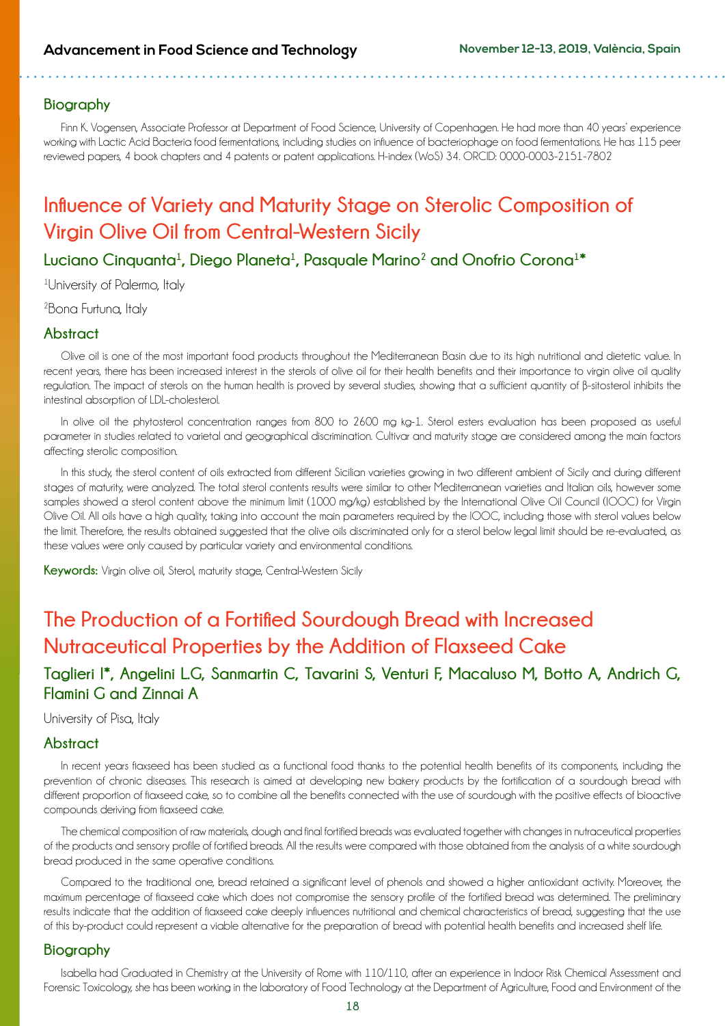#### **Biography**

Finn K. Vogensen, Associate Professor at Department of Food Science, University of Copenhagen. He had more than 40 years' experience working with Lactic Acid Bacteria food fermentations, including studies on influence of bacteriophage on food fermentations. He has 115 peer reviewed papers, 4 book chapters and 4 patents or patent applications. H-index (WoS) 34. ORCID: [0000-0003-2151-7802](https://orcid.org/0000-0003-2151-7802)

## **Influence of Variety and Maturity Stage on Sterolic Composition of Virgin Olive Oil from Central-Western Sicily**

 $L$ uciano Cinquanta<sup>1</sup>, Diego Planeta<sup>1</sup>, Pasquale Marino<sup>2</sup> and Onofrio Corona<sup>1</sup>\*

1University of Palermo, Italy

<sup>2</sup>Bona Furtuna, Italy

#### **Abstract**

Olive oil is one of the most important food products throughout the Mediterranean Basin due to its high nutritional and dietetic value. In recent years, there has been increased interest in the sterols of olive oil for their health benefits and their importance to virgin olive oil quality regulation. The impact of sterols on the human health is proved by several studies, showing that a sufficient quantity of β-sitosterol inhibits the intestinal absorption of LDL-cholesterol.

In olive oil the phytosterol concentration ranges from 800 to 2600 mg kg-1. Sterol esters evaluation has been proposed as useful parameter in studies related to varietal and geographical discrimination. Cultivar and maturity stage are considered among the main factors affecting sterolic composition.

In this study, the sterol content of oils extracted from different Sicilian varieties growing in two different ambient of Sicily and during different stages of maturity, were analyzed. The total sterol contents results were similar to other Mediterranean varieties and Italian oils, however some samples showed a sterol content above the minimum limit (1000 mg/kg) established by the International Olive Oil Council (IOOC) for Virgin Olive Oil. All oils have a high quality, taking into account the main parameters required by the IOOC, including those with sterol values below the limit. Therefore, the results obtained suggested that the olive oils discriminated only for a sterol below legal limit should be re-evaluated, as these values were only caused by particular variety and environmental conditions.

**Keywords:** Virgin olive oil, Sterol, maturity stage, Central-Western Sicily

## **The Production of a Fortified Sourdough Bread with Increased Nutraceutical Properties by the Addition of Flaxseed Cake**

## **Taglieri I\*, Angelini L.G, Sanmartin C, Tavarini S, Venturi F, Macaluso M, Botto A, Andrich G, Flamini G and Zinnai A**

University of Pisa, Italy

#### **Abstract**

In recent years flaxseed has been studied as a functional food thanks to the potential health benefits of its components, including the prevention of chronic diseases. This research is aimed at developing new bakery products by the fortification of a sourdough bread with different proportion of flaxseed cake, so to combine all the benefits connected with the use of sourdough with the positive effects of bioactive compounds deriving from flaxseed cake.

The chemical composition of raw materials, dough and final fortified breads was evaluated together with changes in nutraceutical properties of the products and sensory profile of fortified breads. All the results were compared with those obtained from the analysis of a white sourdough bread produced in the same operative conditions.

Compared to the traditional one, bread retained a significant level of phenols and showed a higher antioxidant activity. Moreover, the maximum percentage of flaxseed cake which does not compromise the sensory profile of the fortified bread was determined. The preliminary results indicate that the addition of flaxseed cake deeply influences nutritional and chemical characteristics of bread, suggesting that the use of this by-product could represent a viable alternative for the preparation of bread with potential health benefits and increased shelf life.

#### **Biography**

Isabella had Graduated in Chemistry at the University of Rome with 110/110, after an experience in Indoor Risk Chemical Assessment and Forensic Toxicology, she has been working in the laboratory of Food Technology at the Department of Agriculture, Food and Environment of the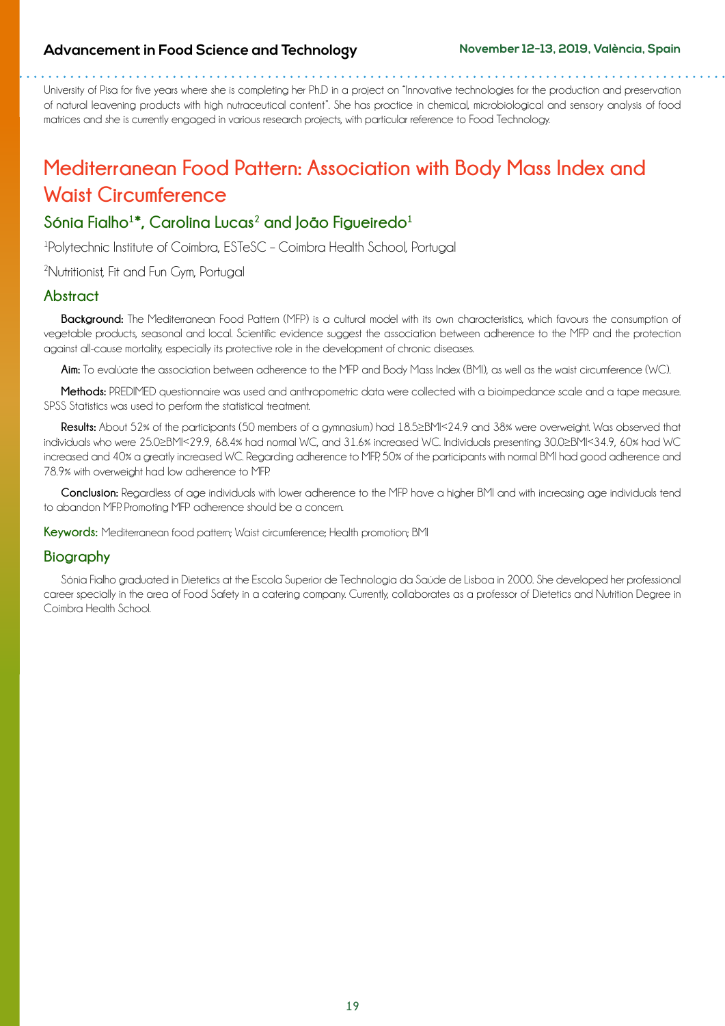#### **Advancement in Food Science and Technology November 12-13, 2019, València, Spain**

University of Pisa for five years where she is completing her Ph.D in a project on "Innovative technologies for the production and preservation of natural leavening products with high nutraceutical content". She has practice in chemical, microbiological and sensory analysis of food matrices and she is currently engaged in various research projects, with particular reference to Food Technology.

. . . . . . .

## **Mediterranean Food Pattern: Association with Body Mass Index and Waist Circumference**

## Sónia Fialho<sup>1\*</sup>, Carolina Lucas<sup>2</sup> and João Figueiredo<sup>1</sup>

1 Polytechnic Institute of Coimbra, ESTeSC – Coimbra Health School, Portugal

2 Nutritionist, Fit and Fun Gym, Portugal

#### **Abstract**

**Background:** The Mediterranean Food Pattern (MFP) is a cultural model with its own characteristics, which favours the consumption of vegetable products, seasonal and local. Scientific evidence suggest the association between adherence to the MFP and the protection against all-cause mortality, especially its protective role in the development of chronic diseases.

**Aim:** To evalúate the association between adherence to the MFP and Body Mass Index (BMI), as well as the waist circumference (WC).

**Methods:** PREDIMED questionnaire was used and anthropometric data were collected with a bioimpedance scale and a tape measure. SPSS Statistics was used to perform the statistical treatment.

**Results:** About 52% of the participants (50 members of a gymnasium) had 18.5≥BMI<24.9 and 38% were overweight. Was observed that individuals who were 25.0≥BMI<29.9, 68.4% had normal WC, and 31.6% increased WC. Individuals presenting 30.0≥BMI<34.9, 60% had WC increased and 40% a greatly increased WC. Regarding adherence to MFP, 50% of the participants with normal BMI had good adherence and 78.9% with overweight had low adherence to MFP.

**Conclusion:** Regardless of age individuals with lower adherence to the MFP have a higher BMI and with increasing age individuals tend to abandon MFP. Promoting MFP adherence should be a concern.

**Keywords:** Mediterranean food pattern; Waist circumference; Health promotion; BMI

#### **Biography**

Sónia Fialho graduated in Dietetics at the Escola Superior de Technologia da Saúde de Lisboa in 2000. She developed her professional career specially in the area of Food Safety in a catering company. Currently, collaborates as a professor of Dietetics and Nutrition Degree in Coimbra Health School.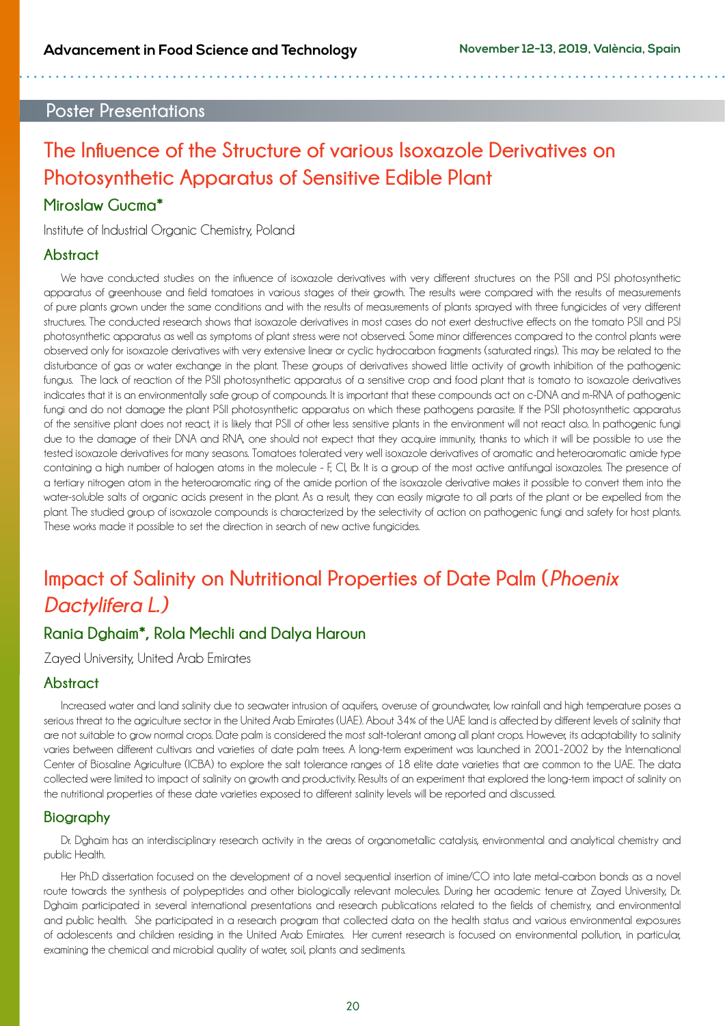### **Poster Presentations**

## **The Influence of the Structure of various Isoxazole Derivatives on Photosynthetic Apparatus of Sensitive Edible Plant**

### **Miroslaw Gucma\***

Institute of Industrial Organic Chemistry, Poland

#### **Abstract**

We have conducted studies on the influence of isoxazole derivatives with very different structures on the PSII and PSI photosynthetic apparatus of greenhouse and field tomatoes in various stages of their growth. The results were compared with the results of measurements of pure plants grown under the same conditions and with the results of measurements of plants sprayed with three fungicides of very different structures. The conducted research shows that isoxazole derivatives in most cases do not exert destructive effects on the tomato PSII and PSI photosynthetic apparatus as well as symptoms of plant stress were not observed. Some minor differences compared to the control plants were observed only for isoxazole derivatives with very extensive linear or cyclic hydrocarbon fragments (saturated rings). This may be related to the disturbance of gas or water exchange in the plant. These groups of derivatives showed little activity of growth inhibition of the pathogenic fungus. The lack of reaction of the PSII photosynthetic apparatus of a sensitive crop and food plant that is tomato to isoxazole derivatives indicates that it is an environmentally safe group of compounds. It is important that these compounds act on c-DNA and m-RNA of pathogenic fungi and do not damage the plant PSII photosynthetic apparatus on which these pathogens parasite. If the PSII photosynthetic apparatus of the sensitive plant does not react, it is likely that PSII of other less sensitive plants in the environment will not react also. In pathogenic fungi due to the damage of their DNA and RNA, one should not expect that they acquire immunity, thanks to which it will be possible to use the tested isoxazole derivatives for many seasons. Tomatoes tolerated very well isoxazole derivatives of aromatic and heteroaromatic amide type containing a high number of halogen atoms in the molecule - F, Cl, Br. It is a group of the most active antifungal isoxazoles. The presence of a tertiary nitrogen atom in the heteroaromatic ring of the amide portion of the isoxazole derivative makes it possible to convert them into the water-soluble salts of organic acids present in the plant. As a result, they can easily migrate to all parts of the plant or be expelled from the plant. The studied group of isoxazole compounds is characterized by the selectivity of action on pathogenic fungi and safety for host plants. These works made it possible to set the direction in search of new active fungicides.

## **Impact of Salinity on Nutritional Properties of Date Palm (***Phoenix Dactylifera L.)*

## **Rania Dghaim\*, Rola Mechli and Dalya Haroun**

Zayed University, United Arab Emirates

#### **Abstract**

Increased water and land salinity due to seawater intrusion of aquifers, overuse of groundwater, low rainfall and high temperature poses a serious threat to the agriculture sector in the United Arab Emirates (UAE). About 34% of the UAE land is affected by different levels of salinity that are not suitable to grow normal crops. Date palm is considered the most salt-tolerant among all plant crops. However, its adaptability to salinity varies between different cultivars and varieties of date palm trees. A long-term experiment was launched in 2001-2002 by the International Center of Biosaline Agriculture (ICBA) to explore the salt tolerance ranges of 18 elite date varieties that are common to the UAE. The data collected were limited to impact of salinity on growth and productivity. Results of an experiment that explored the long-term impact of salinity on the nutritional properties of these date varieties exposed to different salinity levels will be reported and discussed.

### **Biography**

Dr. Dghaim has an interdisciplinary research activity in the areas of organometallic catalysis, environmental and analytical chemistry and public Health.

Her Ph.D dissertation focused on the development of a novel sequential insertion of imine/CO into late metal-carbon bonds as a novel route towards the synthesis of polypeptides and other biologically relevant molecules. During her academic tenure at Zayed University, Dr. Dghaim participated in several international presentations and research publications related to the fields of chemistry, and environmental and public health. She participated in a research program that collected data on the health status and various environmental exposures of adolescents and children residing in the United Arab Emirates. Her current research is focused on environmental pollution, in particular, examining the chemical and microbial quality of water, soil, plants and sediments.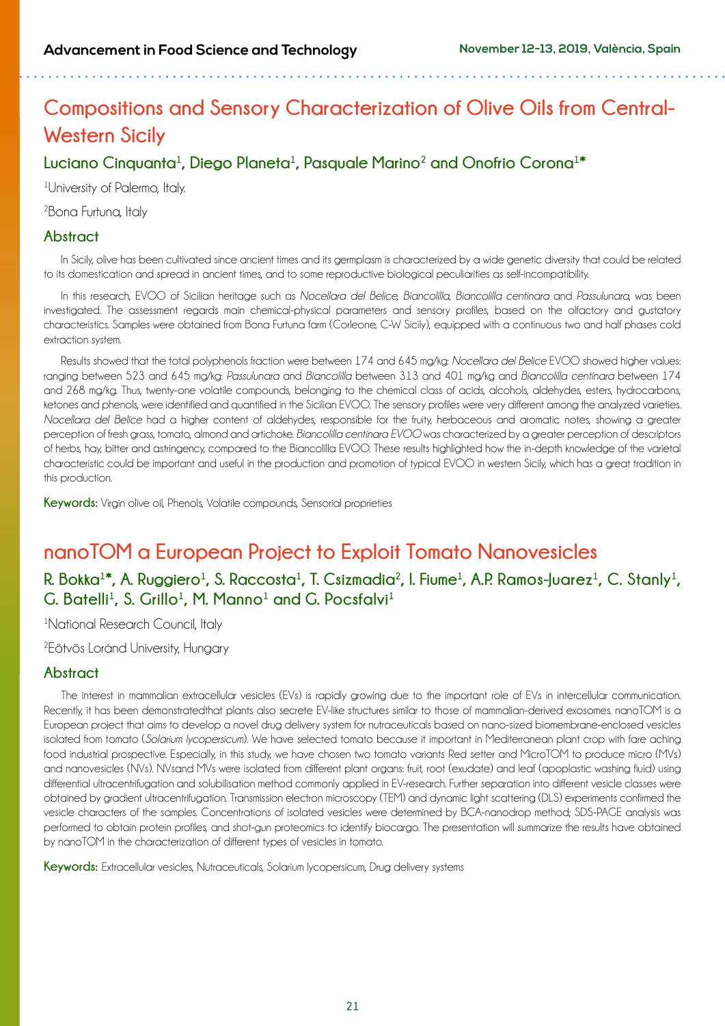## **Compositions and Sensory Characterization of Olive Oils from Central-Western Sicily**

## $L$ uciano Cinquanta<sup>1</sup>, Diego Planeta<sup>1</sup>, Pasquale Marino<sup>2</sup> and Onofrio Corona<sup>1</sup>\*

1 University of Palermo, Italy.

2 Bona Furtuna, Italy

#### **Abstract**

In Sicily, olive has been cultivated since ancient times and its germplasm is characterized by a wide genetic diversity that could be related to its domestication and spread in ancient times, and to some reproductive biological peculiarities as self-incompatibility.

In this research, EVOO of Sicilian heritage such as *Nocellara del Belice, Biancolilla, Biancolilla centinara* and *Passulunara,* was been investigated. The assessment regards main chemical-physical parameters and sensory profiles, based on the olfactory and gustatory characteristics. Samples were obtained from Bona Furtuna farm (Corleone, C-W Sicily), equipped with a continuous two and half phases cold extraction system.

Results showed that the total polyphenols fraction were between 174 and 645 mg/kg: *Nocellara del Belice* EVOO showed higher values: ranging between 523 and 645 mg/kg: *Passulunara* and *Biancolilla* between 313 and 401 mg/kg and *Biancolilla centinara* between 174 and 268 mg/kg. Thus, twenty-one volatile compounds, belonging to the chemical class of acids, alcohols, aldehydes, esters, hydrocarbons, ketones and phenols, were identified and quantified in the Sicilian EVOO. The sensory profiles were very different among the analyzed varieties. *Nocellara del Belice* had a higher content of aldehydes, responsible for the fruity, herbaceous and aromatic notes, showing a greater perception of fresh grass, tomato, almond and artichoke. *Biancolilla centinara EVOO* was characterized by a greater perception of descriptors of herbs, hay, bitter and astringency, compared to the Biancolilla EVOO. These results highlighted how the in-depth knowledge of the varietal characteristic could be important and useful in the production and promotion of typical EVOO in western Sicily, which has a great tradition in this production.

**Keywords:** Virgin olive oil, Phenols, Volatile compounds, Sensorial proprieties

## **nanoTOM a European Project to Exploit Tomato Nanovesicles**

## **R. Bokka<sup>1</sup> \*, A. Ruggiero<sup>1</sup> , S. Raccosta<sup>1</sup> , T. Csizmadia2, I. Fiume1 , A.P. Ramos-Juarez1, C. Stanly1, G. Batelli1, S. Grillo1, M. Manno1 and G. Pocsfalvi<sup>1</sup>**

<sup>1</sup>National Research Council, Italy

2 Eötvös Loránd University, Hungary

### **Abstract**

The interest in mammalian extracellular vesicles (EVs) is rapidly growing due to the important role of EVs in intercellular communication. Recently, it has been demonstratedthat plants also secrete EV-like structures similar to those of mammalian-derived exosomes. nanoTOM is a European project that aims to develop a novel drug delivery system for nutraceuticals based on nano-sized biomembrane-enclosed vesicles isolated from tomato (*Solarium lycopersicum*). We have selected tomato because it important in Mediterranean plant crop with fare aching food industrial prospective. Especially, in this study, we have chosen two tomato variants Red setter and MicroTOM to produce micro (MVs) and nanovesicles (NVs). NVsand MVs were isolated from different plant organs: fruit, root (exudate) and leaf (apoplastic washing fluid) using differential ultracentrifugation and solubilisation method commonly applied in EV-research. Further separation into different vesicle classes were obtained by gradient ultracentrifugation. Transmission electron microscopy (TEM) and dynamic light scattering (DLS) experiments confirmed the vesicle characters of the samples. Concentrations of isolated vesicles were determined by BCA-nanodrop method; SDS-PAGE analysis was performed to obtain protein profiles, and shot-gun proteomics to identify biocargo. The presentation will summarize the results have obtained by nanoTOM in the characterization of different types of vesicles in tomato.

**Keywords:** Extracellular vesicles, Nutraceuticals, Solarium lycopersicum, Drug delivery systems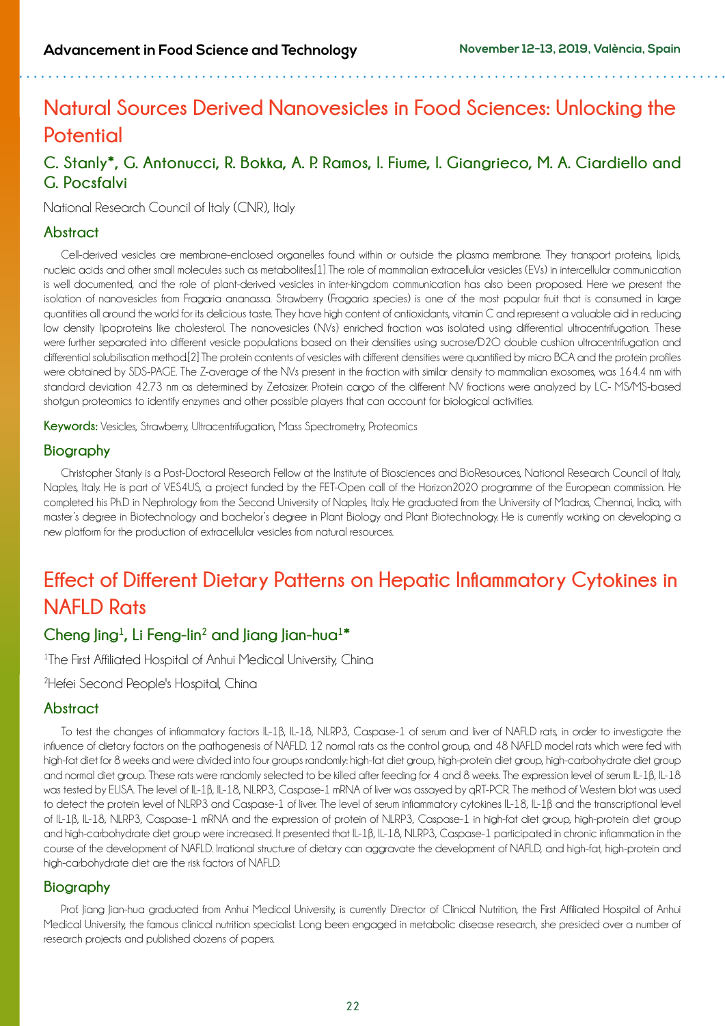## **Natural Sources Derived Nanovesicles in Food Sciences: Unlocking the Potential**

## **C. Stanly\*, G. Antonucci, R. Bokka, A. P. Ramos, I. Fiume, I. Giangrieco, M. A. Ciardiello and G. Pocsfalvi**

National Research Council of Italy (CNR), Italy

### **Abstract**

Cell-derived vesicles are membrane-enclosed organelles found within or outside the plasma membrane. They transport proteins, lipids, nucleic acids and other small molecules such as metabolites.[1] The role of mammalian extracellular vesicles (EVs) in intercellular communication is well documented, and the role of plant-derived vesicles in inter-kingdom communication has also been proposed. Here we present the isolation of nanovesicles from Fragaria ananassa. Strawberry (Fragaria species) is one of the most popular fruit that is consumed in large quantities all around the world for its delicious taste. They have high content of antioxidants, vitamin C and represent a valuable aid in reducing low density lipoproteins like cholesterol. The nanovesicles (NVs) enriched fraction was isolated using differential ultracentrifugation. These were further separated into different vesicle populations based on their densities using sucrose/D2O double cushion ultracentrifugation and differential solubilisation method.[2] The protein contents of vesicles with different densities were quantified by micro BCA and the protein profiles were obtained by SDS-PAGE. The Z-average of the NVs present in the fraction with similar density to mammalian exosomes, was 164.4 nm with standard deviation 42.73 nm as determined by Zetasizer. Protein cargo of the different NV fractions were analyzed by LC- MS/MS-based shotgun proteomics to identify enzymes and other possible players that can account for biological activities.

**Keywords:** Vesicles, Strawberry, Ultracentrifugation, Mass Spectrometry, Proteomics

### **Biography**

Christopher Stanly is a Post-Doctoral Research Fellow at the Institute of Biosciences and BioResources, National Research Council of Italy, Naples, Italy. He is part of VES4US, a project funded by the FET-Open call of the Horizon2020 programme of the European commission. He completed his Ph.D in Nephrology from the Second University of Naples, Italy. He graduated from the University of Madras, Chennai, India, with master's degree in Biotechnology and bachelor's degree in Plant Biology and Plant Biotechnology. He is currently working on developing a new platform for the production of extracellular vesicles from natural resources.

## **Effect of Different Dietary Patterns on Hepatic Inflammatory Cytokines in NAFLD Rats**

## **Cheng Jing1 , Li Feng-lin2 and Jiang Jian-hua1 \***

<sup>1</sup>The First Affiliated Hospital of Anhui Medical University, China

2 Hefei Second People's Hospital, China

### **Abstract**

To test the changes of inflammatory factors IL-1β, IL-18, NLRP3, Caspase-1 of serum and liver of NAFLD rats, in order to investigate the influence of dietary factors on the pathogenesis of NAFLD. 12 normal rats as the control group, and 48 NAFLD model rats which were fed with high-fat diet for 8 weeks and were divided into four groups randomly: high-fat diet group, high-protein diet group, high-carbohydrate diet group and normal diet group. These rats were randomly selected to be killed after feeding for 4 and 8 weeks. The expression level of serum IL-1β, IL-18 was tested by ELISA. The level of IL-1B, IL-18, NLRP3, Caspase-1 mRNA of liver was assayed by qRT-PCR. The method of Western blot was used to detect the protein level of NLRP3 and Caspase-1 of liver. The level of serum inflammatory cytokines IL-18, IL-1β and the transcriptional level of IL-1β, IL-18, NLRP3, Caspase-1 mRNA and the expression of protein of NLRP3, Caspase-1 in high-fat diet group, high-protein diet group and high-carbohydrate diet group were increased. It presented that IL-1β, IL-18, NLRP3, Caspase-1 participated in chronic inflammation in the course of the development of NAFLD. Irrational structure of dietary can aggravate the development of NAFLD, and high-fat, high-protein and high-carbohydrate diet are the risk factors of NAFLD.

### **Biography**

Prof. Jiang Jian-hua graduated from Anhui Medical University, is currently Director of Clinical Nutrition, the First Affiliated Hospital of Anhui Medical University, the famous clinical nutrition specialist. Long been engaged in metabolic disease research, she presided over a number of research projects and published dozens of papers.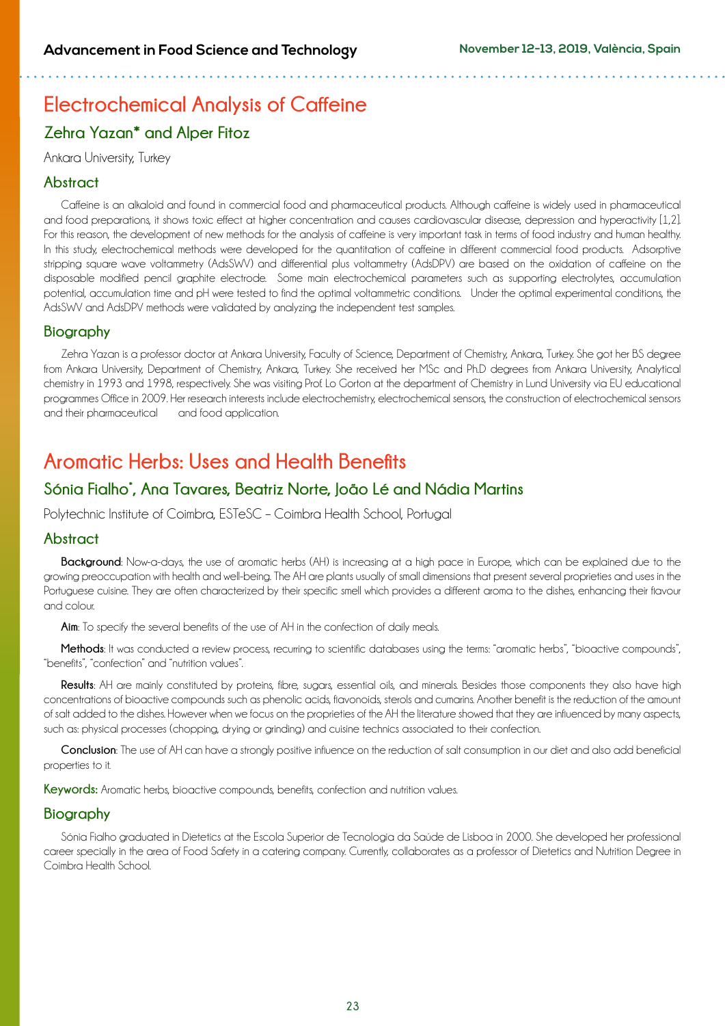# **Electrochemical Analysis of Caffeine**

## **Zehra Yazan\* and Alper Fitoz**

Ankara University, Turkey

### **Abstract**

Caffeine is an alkaloid and found in commercial food and pharmaceutical products. Although caffeine is widely used in pharmaceutical and food preparations, it shows toxic effect at higher concentration and causes cardiovascular disease, depression and hyperactivity [1,2]. For this reason, the development of new methods for the analysis of caffeine is very important task in terms of food industry and human healthy. In this study, electrochemical methods were developed for the quantitation of caffeine in different commercial food products. Adsorptive stripping square wave voltammetry (AdsSWV) and differential plus voltammetry (AdsDPV) are based on the oxidation of caffeine on the disposable modified pencil graphite electrode. Some main electrochemical parameters such as supporting electrolytes, accumulation potential, accumulation time and pH were tested to find the optimal voltammetric conditions. Under the optimal experimental conditions, the AdsSWV and AdsDPV methods were validated by analyzing the independent test samples.

### **Biography**

Zehra Yazan is a professor doctor at Ankara University, Faculty of Science, Department of Chemistry, Ankara, Turkey. She got her BS degree from Ankara University, Department of Chemistry, Ankara, Turkey. She received her MSc and Ph.D degrees from Ankara University, Analytical chemistry in 1993 and 1998, respectively. She was visiting Prof. Lo Gorton at the department of Chemistry in Lund University via EU educational programmes Office in 2009. Her research interests include electrochemistry, electrochemical sensors, the construction of electrochemical sensors and their pharmaceutical and food application.

## **Aromatic Herbs: Uses and Health Benefits**

## **Sónia Fialho\* , Ana Tavares, Beatriz Norte, João Lé and Nádia Martins**

Polytechnic Institute of Coimbra, ESTeSC – Coimbra Health School, Portugal

### **Abstract**

**Background**: Now-a-days, the use of aromatic herbs (AH) is increasing at a high pace in Europe, which can be explained due to the growing preoccupation with health and well-being. The AH are plants usually of small dimensions that present several proprieties and uses in the Portuguese cuisine. They are often characterized by their specific smell which provides a different aroma to the dishes, enhancing their flavour and colour.

**Aim**: To specify the several benefits of the use of AH in the confection of daily meals.

Methods: It was conducted a review process, recurring to scientific databases using the terms: "gromatic herbs", "bioactive compounds". "benefits", "confection" and "nutrition values".

**Results**: AH are mainly constituted by proteins, fibre, sugars, essential oils, and minerals. Besides those components they also have high concentrations of bioactive compounds such as phenolic acids, flavonoids, sterols and cumarins. Another benefit is the reduction of the amount of salt added to the dishes. However when we focus on the proprieties of the AH the literature showed that they are influenced by many aspects, such as: physical processes (chopping, drying or grinding) and cuisine technics associated to their confection.

**Conclusion**: The use of AH can have a strongly positive influence on the reduction of salt consumption in our diet and also add beneficial properties to it.

Keywords: Aromatic herbs, bioactive compounds, benefits, confection and nutrition values.

### **Biography**

Sónia Fialho graduated in Dietetics at the Escola Superior de Tecnologia da Saúde de Lisboa in 2000. She developed her professional career specially in the area of Food Safety in a catering company. Currently, collaborates as a professor of Dietetics and Nutrition Degree in Coimbra Health School.